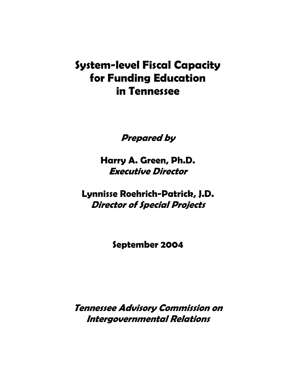# **System-level Fiscal Capacity for Funding Education in Tennessee**

**Prepared by** 

**Harry A. Green, Ph.D. Executive Director** 

**Lynnisse Roehrich-Patrick, J.D. Director of Special Projects** 

**September 2004**

**Tennessee Advisory Commission on Intergovernmental Relations**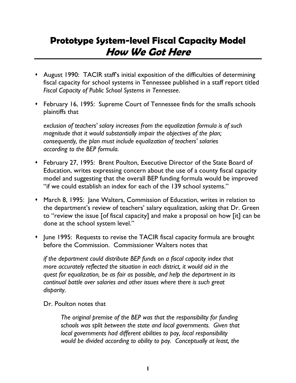# **Prototype System-level Fiscal Capacity Model How We Got Here**

- August 1990: TACIR staff's initial exposition of the difficulties of determining fiscal capacity for school systems in Tennessee published in a staff report titled *Fiscal Capacity of Public School Systems in Tennessee*.
- February 16, 1995: Supreme Court of Tennessee finds for the smalls schools plaintiffs that

*exclusion of teachers' salary increases from the equalization formula is of such magnitude that it would substantially impair the objectives of the plan; consequently, the plan must include equalization of teachers' salaries according to the BEP formula.* 

- February 27, 1995: Brent Poulton, Executive Director of the State Board of Education, writes expressing concern about the use of a county fiscal capacity model and suggesting that the overall BEP funding formula would be improved "if we could establish an index for each of the 139 school systems."
- March 8, 1995: Jane Walters, Commission of Education, writes in relation to the department's review of teachers' salary equalization, asking that Dr. Green to "review the issue [of fiscal capacity] and make a proposal on how [it] can be done at the school system level."
- June 1995: Requests to revise the TACIR fiscal capacity formula are brought before the Commission. Commissioner Walters notes that

*if the department could distribute BEP funds on a fiscal capacity index that more accurately reflected the situation in each district, it would aid in the quest for equalization, be as fair as possible, and help the department in its continual battle over salaries and other issues where there is such great disparity.* 

Dr. Poulton notes that

*The original premise of the BEP was that the responsibility for funding schools was split between the state and local governments. Given that local governments had different abilities to pay, local responsibility would be divided according to ability to pay. Conceptually at least, the*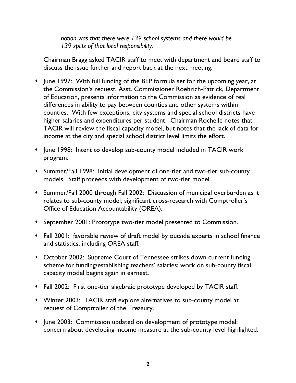*notion was that there were 139 school systems and there would be 139 splits of that local responsibility.* 

Chairman Bragg asked TACIR staff to meet with department and board staff to discuss the issue further and report back at the next meeting.

- June 1997: With full funding of the BEP formula set for the upcoming year, at the Commission's request, Asst. Commissioner Roehrich-Patrick, Department of Education, presents information to the Commission as evidence of real differences in ability to pay between counties and other systems within counties. With few exceptions, city systems and special school districts have higher salaries and expenditures per student. Chairman Rochelle notes that TACIR will review the fiscal capacity model, but notes that the lack of data for income at the city and special school district level limits the effort.
- June 1998: Intent to develop sub-county model included in TACIR work program.
- Summer/Fall 1998: Initial development of one-tier and two-tier sub-county models. Staff proceeds with development of two-tier model.
- Summer/Fall 2000 through Fall 2002: Discussion of municipal overburden as it relates to sub-county model; significant cross-research with Comptroller's Office of Education Accountability (OREA).
- September 2001: Prototype two-tier model presented to Commission.
- Fall 2001: favorable review of draft model by outside experts in school finance and statistics, including OREA staff.
- October 2002: Supreme Court of Tennessee strikes down current funding scheme for funding/establishing teachers' salaries; work on sub-county fiscal capacity model begins again in earnest.
- Fall 2002: First one-tier algebraic prototype developed by TACIR staff.
- Winter 2003: TACIR staff explore alternatives to sub-county model at request of Comptroller of the Treasury.
- June 2003: Commission updated on development of prototype model; concern about developing income measure at the sub-county level highlighted.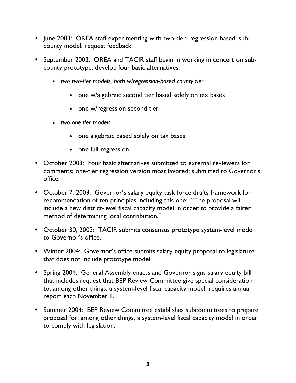- June 2003: OREA staff experimenting with two-tier, regression based, subcounty model; request feedback.
- September 2003: OREA and TACIR staff begin in working in concert on subcounty prototype; develop four basic alternatives:
	- *two two-tier models, both w/regression-based county tier* 
		- one w/algebraic second tier based solely on tax bases
		- one w/regression second tier
	- *two one-tier models* 
		- one algebraic based solely on tax bases
		- one full regression
- October 2003: Four basic alternatives submitted to external reviewers for comments; one-tier regression version most favored; submitted to Governor's office.
- October 7, 2003: Governor's salary equity task force drafts framework for recommendation of ten principles including this one: "The proposal will include a new district-level fiscal capacity model in order to provide a fairer method of determining local contribution."
- October 30, 2003: TACIR submits consensus prototype system-level model to Governor's office.
- Winter 2004: Governor's office submits salary equity proposal to legislature that does not include prototype model.
- Spring 2004: General Assembly enacts and Governor signs salary equity bill that includes request that BEP Review Committee give special consideration to, among other things, a system-level fiscal capacity model; requires annual report each November 1.
- Summer 2004: BEP Review Committee establishes subcommittees to prepare proposal for, among other things, a system-level fiscal capacity model in order to comply with legislation.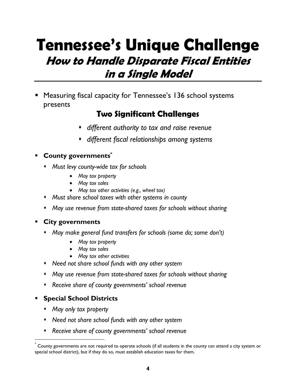# **Tennessee's Unique Challenge How to Handle Disparate Fiscal Entities in a Single Model**

 Measuring fiscal capacity for Tennessee's 136 school systems presents

### **Two Significant Challenges**

- *different authority to tax and raise revenue*
- *different fiscal relationships among systems*

#### **County governments\***

- *Must levy county-wide tax for schools* 
	- *May tax property*
	- *May tax sales*
	- *May tax other activities (e.g., wheel tax)*
- *Must share school taxes with other systems in county*
- *May use revenue from state-shared taxes for schools without sharing*

#### **City governments**

- *May make general fund transfers for schools (some do; some don't)* 
	- *May tax property*
	- *May tax sales*
	- *May tax other activities*
- *Need not share school funds with any other system*
- *May use revenue from state-shared taxes for schools without sharing*
- *Receive share of county governments' school revenue*

### **Special School Districts**

*May only tax property* 

 $\overline{a}$ 

- *Need not share school funds with any other system*
- *Receive share of county governments' school revenue*

<sup>\*</sup> County governments are not required to operate schools (if all students in the county can attend a city system or special school district), but if they do so, must establish education taxes for them.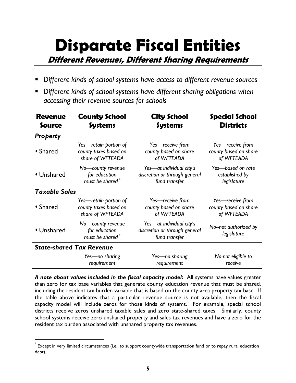# **Disparate Fiscal Entities**

**Different Revenues, Different Sharing Requirements** 

- *Different kinds of school systems have access to different revenue sources*
- *Different kinds of school systems have different sharing obligations when accessing their revenue sources for schools*

| <b>Revenue</b>       | <b>County School</b>                                  | <b>City School</b>                                                         | <b>Special School</b>                |
|----------------------|-------------------------------------------------------|----------------------------------------------------------------------------|--------------------------------------|
| Source               | <b>Systems</b>                                        | <b>Systems</b>                                                             | <b>Districts</b>                     |
| <b>Property</b>      |                                                       |                                                                            |                                      |
| • Shared             | Yes-retain portion of                                 | Yes-receive from                                                           | Yes-receive from                     |
|                      | county taxes based on                                 | county based on share                                                      | county based on share                |
|                      | share of WFTEADA                                      | of WFTEADA                                                                 | of WFTEADA                           |
| • Unshared           | No-county revenue                                     | Yes-at individual city's                                                   | Yes-based on rate                    |
|                      | for education                                         | discretion or through general                                              | established by                       |
|                      | must be shared <sup>*</sup>                           | fund transfer                                                              | legislature                          |
| <b>Taxable Sales</b> |                                                       |                                                                            |                                      |
| • Shared             | Yes-retain portion of                                 | Yes-receive from                                                           | Yes-receive from                     |
|                      | county taxes based on                                 | county based on share                                                      | county based on share                |
|                      | share of WFTEADA                                      | of WFTEADA                                                                 | of WFTEADA                           |
| • Unshared           | No-county revenue<br>for education<br>must be shared* | Yes-at individual city's<br>discretion or through general<br>fund transfer | No--not authorized by<br>legislature |
|                      | <b>State-shared Tax Revenue</b>                       |                                                                            |                                      |
|                      | Yes—no sharing                                        | Yes-no sharing                                                             | No-not eligible to                   |
|                      | requirement                                           | requirement                                                                | receive                              |

*A note about values included in the fiscal capacity model:* All systems have values greater than zero for tax base variables that generate county education revenue that must be shared, including the resident tax burden variable that is based on the county-area property tax base. If the table above indicates that a particular revenue source is not available, then the fiscal capacity model will include zeros for those kinds of systems. For example, special school districts receive zeros unshared taxable sales and zero state-shared taxes. Similarly, county school systems receive zero unshared property and sales tax revenues and have a zero for the resident tax burden associated with unshared property tax revenues.

 $\overline{a}$ 

 $\degree$  Except in very limited circumstances (i.e., to support countywide transportation fund or to repay rural education debt).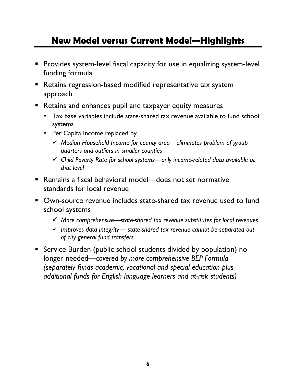# **New Model versus Current Model—Highlights**

- **Provides system-level fiscal capacity for use in equalizing system-level** funding formula
- **Retains regression-based modified representative tax system** approach
- **Retains and enhances pupil and taxpayer equity measures** 
	- Tax base variables include state-shared tax revenue available to fund school systems
	- Per Capita Income replaced by
		- 9 *Median Household Income for county area—eliminates problem of group quarters and outliers in smaller counties*
		- 9 *Child Poverty Rate for school systems—only income-related data available at that level*
- Remains a fiscal behavioral model—does not set normative standards for local revenue
- Own-source revenue includes state-shared tax revenue used to fund school systems
	- 9 *More comprehensive—state-shared tax revenue substitutes for local revenues*
	- 9 *Improves data integrity— state-shared tax revenue cannot be separated out of city general fund transfers*
- Service Burden (public school students divided by population) no longer needed—*covered by more comprehensive BEP Formula (separately funds academic, vocational and special education plus additional funds for English language learners and at-risk students)*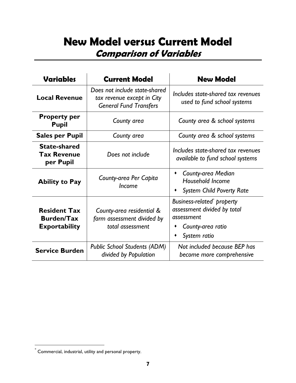# **New Model versus Current Model Comparison of Variables**

| <b>Variables</b>                                                 | <b>Current Model</b>                                                                         | <b>New Model</b>                                                                                            |  |  |  |  |
|------------------------------------------------------------------|----------------------------------------------------------------------------------------------|-------------------------------------------------------------------------------------------------------------|--|--|--|--|
| <b>Local Revenue</b>                                             | Does not include state-shared<br>tax revenue except in City<br><b>General Fund Transfers</b> | Includes state-shared tax revenues<br>used to fund school systems                                           |  |  |  |  |
| <b>Property per</b><br><b>Pupil</b>                              | County area                                                                                  | County area & school systems                                                                                |  |  |  |  |
| <b>Sales per Pupil</b>                                           | County area                                                                                  | County area & school systems                                                                                |  |  |  |  |
| <b>State-shared</b><br><b>Tax Revenue</b><br>per Pupil           | Does not include                                                                             | Includes state-shared tax revenues<br><i>available to fund school systems</i>                               |  |  |  |  |
| <b>Ability to Pay</b>                                            | County-area Per Capita<br><i><u><b>Income</b></u></i>                                        | <b>County-area Median</b><br>Household Income<br><b>System Child Poverty Rate</b>                           |  |  |  |  |
| <b>Resident Tax</b><br><b>Burden/Tax</b><br><b>Exportability</b> | County-area residential &<br>farm assessment divided by<br>total assessment                  | Business-related property<br>assessment divided by total<br>assessment<br>County-area ratio<br>System ratio |  |  |  |  |
| <b>Service Burden</b>                                            | <b>Public School Students (ADM)</b><br>divided by Population                                 | Not included because BEP has<br>become more comprehensive                                                   |  |  |  |  |

 $\overline{a}$ 

 $\degree$  Commercial, industrial, utility and personal property.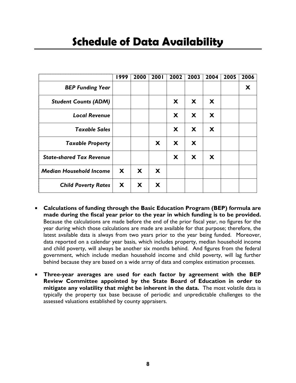# **Schedule of Data Availability**

|                                 | 1999 | 2000 | 2001 | 2002 | 2003 | 2004 | 2005 | 2006 |
|---------------------------------|------|------|------|------|------|------|------|------|
| <b>BEP Funding Year</b>         |      |      |      |      |      |      |      | X    |
| <b>Student Counts (ADM)</b>     |      |      |      | X    | X    | X    |      |      |
| <b>Local Revenue</b>            |      |      |      | X    | X    | X    |      |      |
| <b>Taxable Sales</b>            |      |      |      | X    | X    | X    |      |      |
| <b>Taxable Property</b>         |      |      | X    | X    | X    |      |      |      |
| <b>State-shared Tax Revenue</b> |      |      |      | X    | X    | X    |      |      |
| <b>Median Household Income</b>  | X    | X    | X    |      |      |      |      |      |
| <b>Child Poverty Rates</b>      | X    | X    | X    |      |      |      |      |      |

- **Calculations of funding through the Basic Education Program (BEP) formula are made during the fiscal year prior to the year in which funding is to be provided.** Because the calculations are made before the end of the prior fiscal year, no figures for the year during which those calculations are made are available for that purpose; therefore, the latest available data is always from two years prior to the year being funded. Moreover, data reported on a calendar year basis, which includes property, median household income and child poverty, will always be another six months behind. And figures from the federal government, which include median household income and child poverty, will lag further behind because they are based on a wide array of data and complex estimation processes.
- **Three-year averages are used for each factor by agreement with the BEP Review Committee appointed by the State Board of Education in order to mitigate any volatility that might be inherent in the data.** The most volatile data is typically the property tax base because of periodic and unpredictable challenges to the assessed valuations established by county appraisers.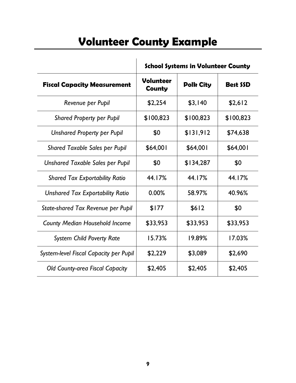# **Volunteer County Example**

|                                         |                                   | <b>School Systems in Volunteer County</b> |                 |
|-----------------------------------------|-----------------------------------|-------------------------------------------|-----------------|
| <b>Fiscal Capacity Measurement</b>      | <b>Volunteer</b><br><b>County</b> | <b>Polk City</b>                          | <b>Best SSD</b> |
| Revenue per Pupil                       | \$2,254                           | \$3,140                                   | \$2,612         |
| <b>Shared Property per Pupil</b>        | \$100,823                         | \$100,823                                 | \$100,823       |
| <b>Unshared Property per Pupil</b>      | \$0                               | \$131,912                                 | \$74,638        |
| <b>Shared Taxable Sales per Pupil</b>   | \$64,001                          | \$64,001                                  | \$64,001        |
| Unshared Taxable Sales per Pupil        | \$0                               | \$134,287                                 | \$0             |
| <b>Shared Tax Exportability Ratio</b>   | 44.17%                            | 44.17%                                    | 44.17%          |
| <b>Unshared Tax Exportability Ratio</b> | 0.00%                             | 58.97%                                    | 40.96%          |
| State-shared Tax Revenue per Pupil      | \$177                             | \$612                                     | \$0             |
| <b>County Median Household Income</b>   | \$33,953                          | \$33,953                                  | \$33,953        |
| <b>System Child Poverty Rate</b>        | 15.73%                            | 19.89%                                    | 17.03%          |
| System-level Fiscal Capacity per Pupil  | \$2,229                           | \$3,089                                   | \$2,690         |
| <b>Old County-area Fiscal Capacity</b>  | \$2,405                           | \$2,405                                   | \$2,405         |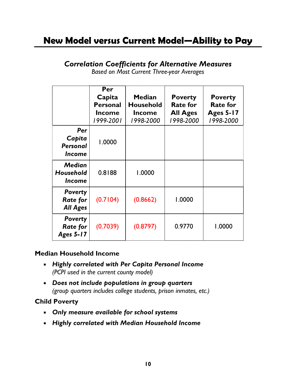## **New Model versus Current Model—Ability to Pay**

### *Correlation Coefficients for Alternative Measures*

*Based on Most Current Three-year Averages* 

|                                                      | Per<br>Capita<br><b>Personal</b><br><b>Income</b><br>1999-2001 | <b>Median</b><br><b>Household</b><br><b>Income</b><br>1998-2000 | <b>Poverty</b><br><b>Rate for</b><br><b>All Ages</b><br>1998-2000 | <b>Poverty</b><br><b>Rate for</b><br><b>Ages 5-17</b><br>1998-2000 |
|------------------------------------------------------|----------------------------------------------------------------|-----------------------------------------------------------------|-------------------------------------------------------------------|--------------------------------------------------------------------|
| Per<br>Capita<br><b>Personal</b><br><b>Income</b>    | 1.0000                                                         |                                                                 |                                                                   |                                                                    |
| <b>Median</b><br>Household<br><i><b>Income</b></i>   | 0.8188                                                         | 1.0000                                                          |                                                                   |                                                                    |
| <b>Poverty</b><br><b>Rate for</b><br><b>All Ages</b> | (0.7104)                                                       | (0.8662)                                                        | 1.0000                                                            |                                                                    |
| <b>Poverty</b><br><b>Rate for</b><br>Ages 5-17       | (0.7039)                                                       | (0.8797)                                                        | 0.9770                                                            | 1.0000                                                             |

#### **Median Household Income**

- *Highly correlated with Per Capita Personal Income (PCPI used in the current county model)*
- *Does not include populations in group quarters (group quarters includes college students, prison inmates, etc.)*

#### **Child Poverty**

- *Only measure available for school systems*
- *Highly correlated with Median Household Income*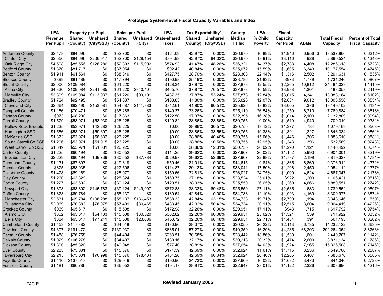|                            | <b>LEA</b>       |               | <b>Property per Pupil</b> |               | <b>Sales per Pupil</b> | <b>LEA</b>            |               | <b>Tax Exportability*</b> | County        | <b>LEA</b>     | <b>Fiscal</b>    |             |                     |                         |
|----------------------------|------------------|---------------|---------------------------|---------------|------------------------|-----------------------|---------------|---------------------------|---------------|----------------|------------------|-------------|---------------------|-------------------------|
|                            | <b>Revenue</b>   | <b>Shared</b> | <b>Unshared</b>           | <b>Shared</b> |                        | Unshared State-shared | <b>Shared</b> | <b>Unshared</b>           | <b>Median</b> | % Child        | Capacity         |             | <b>Total Fiscal</b> | <b>Percent of Total</b> |
|                            | <b>Per Pupil</b> | (County)      | (City/SSD)                | (County)      | (City)                 | Taxes                 |               | (County) (City/SSD)       | <b>HH Inc</b> | <b>Poverty</b> | <b>Per Pupil</b> | <b>ADMs</b> | Capacity            | <b>Fiscal Capacity</b>  |
| <b>Anderson County</b>     | \$2,478          | \$84,696      | \$0                       | \$52,700      | \$0                    | \$124.09              | 42.97%        | 0.00%                     | \$36,670      | 16.89%         | \$1,946          | 6,956 \$    | 13,537,866          | 0.6312%                 |
| <b>Clinton City</b>        | \$2,556          | \$84,696      | \$206,917                 | \$52,700      | \$129,154              | \$794.93              | 42.97%        | 64.02%                    | \$36,670      | 18.91%         | \$3,116          | 928         | 2,890,524           | 0.1348%                 |
| Oak Ridge City             | \$4,508          | \$85,556      | \$126,286                 | \$52,303      | \$115,992              | \$574.93              | 41.47%        | 48.26%                    | \$36,321      | 14.37%         | \$2,788          | 4,408       | 12,286,618          | 0.5728%                 |
| <b>Bedford County</b>      | \$1,370          | \$81,717      | \$0                       | \$37,954      | \$0                    | \$92.42               | 40.84%        | 0.00%                     | \$35,072      | 15.59%         | \$1,605          | 6,343       | 10,177,554          | 0.4745%                 |
| <b>Benton County</b>       | \$1,911          | \$61,564      | \$0                       | \$38,349      | \$0                    | \$427.75              | 28.70%        | 0.00%                     | \$28,308      | 22.14%         | \$1,316          | 2,502       | 3,291,631           | 0.1535%                 |
| <b>Bledsoe County</b>      | \$899            | \$81,489      | \$0                       | \$17,794      | \$0                    | \$190.98              | 25.19%        | 0.00%                     | \$28,786      | 21.83%         | \$973            | 1,779       | 1,731,240           | 0.0807%                 |
| <b>Blount County</b>       | \$2,006          | \$109,084     | \$0                       | \$61,220      | \$0                    | \$128.34              | 37.87%        | 0.00%                     | \$37,878      | 12.55%         | \$2,265          | 10,812      | 24,484,023          | 1.1415%                 |
| Alcoa City                 | \$4,330          | \$109,084     | \$231,585                 | \$61,220      | \$340,401              | \$465.76              | 37.87%        | 76.57%                    | \$37,878      | 16.59%         | \$3,988          | 1,301       | 5,188,058           | 0.2419%                 |
| <b>Maryville City</b>      | \$3,399          | \$109,084     | \$113,937                 | \$61,220      | \$90,101               | \$487.35              | 37.87%        | 53.24%                    | \$37,878      | 12.84%         | \$3,015          | 4,341       | 13,088,164          | 0.6102%                 |
| <b>Bradley County</b>      | \$1,724          | \$92,495      | \$0                       | \$54,687      | \$0                    | \$108.83              | 41.80%        | 0.00%                     | \$35,626      | 12.07%         | \$2,031          | 9,012       | 18,303,556          | 0.8534%                 |
| <b>Cleveland City</b>      | \$2,664          | \$92,495      | \$153,081                 | \$54,687      | \$141,383              | \$742.61              | 41.80%        | 60.51%                    | \$35,626      | 18.83%         | \$3,005          | 4,376       | 13,149,102          | 0.6131%                 |
| <b>Campbell County</b>     | \$1,156          | \$70,471      | \$0                       | \$38,286      | \$0                    | \$149.37              | 33.26%        | 0.00%                     | \$25,110      | 26.54%         | \$1,250          | 6,210       | 7,760,884           | 0.3618%                 |
| <b>Cannon County</b>       | \$973            | \$68,290      | \$0                       | \$17,863      | \$0                    | \$122.50              | 17.97%        | 0.00%                     | \$32,395      | 16.38%         | \$1,014          | 2,103       | 2,132,809           | 0.0994%                 |
| <b>Carroll County</b>      | \$1,579          | \$53,971      | \$53,930                  | \$26,225      | \$0                    | \$129.82              | 28.86%        | 28.86%                    | \$30,755      | 0.00%          | \$1,519          | 4,940       | 709,310             | 0.0331%                 |
| <b>Hollow Rock-Bruceto</b> | \$1,235          | \$53,971      | \$42,282                  | \$26,225      | \$0                    | \$0.00                | 28.86%        | 30.57%                    | \$30,755      | 13.12%         | \$1,377          | 784         | 1,079,169           | 0.0503%                 |
| Huntingdon SSD             | \$1,566          | \$53,971      | \$59,397                  | \$26,225      | \$0                    | \$0.00                | 28.86%        | 33.55%                    | \$30,755      | 19.38%         | \$1,391          | 1,327       | 1,846,334           | 0.0861%                 |
| McKenzie SSD               | \$1,372          | \$53,971      | \$58,632                  | \$26,225      | \$0                    | \$0.00                | 28.86%        | 40.40%                    | \$30,755      | 15.06%         | \$1,446          | 1,306       | 1,888,610           | 0.0881%                 |
| South Carroll Co SSI       | \$1,206          | \$53,971      | \$51,915                  | \$26,225      | \$0                    | \$0.00                | 28.86%        | 10.56%                    | \$30,755      | 12.95%         | \$1,343          | 396         | 532,569             | 0.0248%                 |
| <b>West Carroll Co SSD</b> | \$1,349          | \$53,971      | \$51,081                  | \$26,225      | \$0                    | \$0.00                | 28.86%        | 12.31%                    | \$30,755      | 20.02%         | \$1,290          | 1,121       | 1,446,492           | 0.0674%                 |
| Carter County              | \$1,225          | \$60,194      | \$0                       | \$30,652      | \$0                    | \$114.25              | 29.62%        | 0.00%                     | \$27,967      | 20.02%         | \$1,152          | 5,993       | 6,904,001           | 0.3219%                 |
| <b>Elizabethton City</b>   | \$2,229          | \$60,194      | \$69,739                  | \$30,652      | \$87,784               | \$529.97              | 29.62%        | 52.69%                    | \$27,967      | 22.88%         | \$1,737          | 2,199       | 3,819,327           | 0.1781%                 |
| <b>Cheatham County</b>     | \$1,131          | \$67,807      | \$0                       | \$19,819      | \$0                    | \$59.46               | 21.01%        | 0.00%                     | \$44,615      | 9.84%          | \$1,365          | 6,869       | 9,376,912           | 0.4372%                 |
| <b>Chester County</b>      | \$875            | \$58,035      | \$0                       | \$27,596      | \$0                    | \$114.87              | 29.13%        | 0.00%                     | \$33,041      | 17.50%         | \$1,206          | 2,450       | 2,954,112           | 0.1377%                 |
| <b>Claiborne County</b>    | \$1,478          | \$69,169      | \$0                       | \$25,077      | \$0                    | \$150.66              | 32.81%        | 0.00%                     | \$26,027      | 24.75%         | \$1,009          | 4,624       | 4,667,347           | 0.2176%                 |
| <b>Clay County</b>         | \$1,260          | \$63,829      | \$0                       | \$25,324      | \$0                    | \$169.75              | 27.18%        | 0.00%                     | \$23,524      | 25.01%         | \$922            | 1,200       | 1,106,421           | 0.0516%                 |
| <b>Cocke County</b>        | \$1,227          | \$63,602      | \$0                       | \$39,124      | \$0                    | \$120.51              | 38.33%        | 0.00%                     | \$25,550      | 26.65%         | \$1,260          | 4,666       | 5,880,551           | 0.2742%                 |
| <b>Newport City</b>        | \$1,898          | \$63,602      | \$145,783                 | \$39,124      | \$249,997              | \$872.83              | 38.33%        | 69.48%                    | \$25,550      | 27.11%         | \$2,535          | 683         | 1,730,552           | 0.0807%                 |
| <b>Coffee County</b>       | \$1,823          | \$69,784      | \$0                       | \$58,137      | \$0                    | \$169.54              | 42.84%        | 0.00%                     | \$34,738      | 12.19%         | \$1,993          | 4,169       | 8,309,977           | 0.3874%                 |
| <b>Manchester City</b>     | \$2,631          | \$69,784      | \$106,288                 | \$58,137      | \$136,453              | \$588.33              | 42.84%        | 63.15%                    | \$34,738      | 19.71%         | \$2,799          | 1,194       | 3,343,646           | 0.1559%                 |
| <b>Tullahoma City</b>      | \$2,969          | \$70,383      | \$76,075                  | \$57,491      | \$80,465               | \$433.45              | 42.32%        | 50.42%                    | \$34,734      | 20.11%         | \$2,515          | 3,604       | 9,064,419           | 0.4226%                 |
| <b>Crockett County</b>     | \$969            | \$65,617      | \$0                       | \$15,508      | \$0                    | \$172.98              | 32.26%        | 0.00%                     | \$29,951      | 17.11%         | \$943            | 1,715       | 1,617,792           | 0.0754%                 |
| Alamo City                 | \$802            | \$65,617      | \$54,133                  | \$15,508      | \$30,520               | \$362.82              | 32.26%        | 60.08%                    | \$29,951      | 25.62%         | \$1,321          | 539         | 711,922             | 0.0332%                 |
| <b>Bells City</b>          | \$884            | \$65,617      | \$77,241                  | \$15,508      | \$23,686               | \$453.72              | 32.26%        | 68.48%                    | \$29,951      | 22.71%         | \$1,434          | 391         | 561,193             | 0.0262%                 |
| <b>Cumberland County</b>   | \$1,453          | \$117,382     | \$0                       | \$64,518      | \$0                    | \$130.90              | 28.37%        | 0.00%                     | \$30,050      | 20.22%         | \$2,113          | 6,735       | 14,232,122          | 0.6635%                 |
| <b>Davidson County</b>     | \$4,307          | \$191,472     | \$0                       | \$139,037     | \$0                    | \$665.01              | 57.27%        | 0.00%                     | \$40,359      | 16.29%         | \$4,285          | 68,203      | 292,264,354         | 13.6263%                |
| <b>Decatur County</b>      | \$1,488          | \$76,758      | \$0                       | \$44,494      | \$0                    | \$263.51              | 30.68%        | 0.00%                     | \$28,442      | 18.86%         | \$1,530          | 1,601       | 2,449,207           | 0.1142%                 |
| <b>DeKalb County</b>       | \$1,029          | \$106,278     | \$0                       | \$34,497      | \$0                    | \$130.16              | 32.17%        | 0.00%                     | \$30,218      | 20.32%         | \$1,474          | 2,600       | 3,831,134           | 0.1786%                 |
| <b>Dickson County</b>      | \$1,890          | \$85,820      | \$0                       | \$49,948      | \$0                    | \$77.40               | 38.89%        | 0.00%                     | \$37,654      | 14.03%         | \$1,924          | 7,965       | 15,326,508          | 0.7146%                 |
| <b>Dyer County</b>         | \$2,283          | \$73,031      | \$0                       | \$45,376      | \$0                    | \$174.39              | 42.69%        | 0.00%                     | \$32,924      | 11.61%         | \$1,715          | 3,236       | 5,549,706           | 0.2587%                 |
| <b>Dyersburg City</b>      | \$2,215          | \$73,031      | \$70,998                  | \$45,376      | \$78,434               | \$434.26              | 42.69%        | 60.04%                    | \$32,924      | 26.40%         | \$2,205          | 3,487       | 7,688,676           | 0.3585%                 |
| <b>Fayette County</b>      | \$1,416          | \$137,517     | \$0                       | \$29,949      | \$0                    | \$190.90              | 24.73%        | 0.00%                     | \$37,669      | 16.03%         | \$1,682          | 3,473       | 5,841,040           | 0.2723%                 |
| <b>Fentress County</b>     | \$1,181          | \$66,786      | \$0                       | \$36,052      | \$0                    | \$194.17              | 28.91%        | 0.00%                     | \$22,947      | 28.01%         | \$1,122          | 2,326       | 2,608,696           | 0.1216%                 |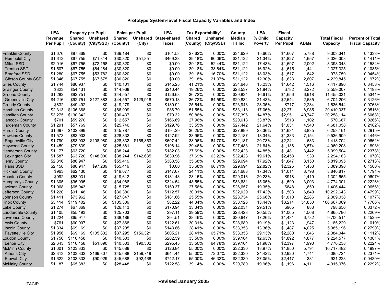|                          | <b>LEA</b>       |               | <b>Property per Pupil</b> |               | <b>Sales per Pupil</b> | <b>LEA</b>            |        | Tax Exportability*  | County        | <b>LEA</b>     | <b>Fiscal</b>    |             |                     |                         |
|--------------------------|------------------|---------------|---------------------------|---------------|------------------------|-----------------------|--------|---------------------|---------------|----------------|------------------|-------------|---------------------|-------------------------|
|                          | <b>Revenue</b>   | <b>Shared</b> | <b>Unshared</b>           | <b>Shared</b> |                        | Unshared State-shared | Shared | <b>Unshared</b>     | <b>Median</b> | % Child        | Capacity         |             | <b>Total Fiscal</b> | <b>Percent of Total</b> |
|                          | <b>Per Pupil</b> | (County)      | (City/SSD)                | (County)      | (City)                 | <b>Taxes</b>          |        | (County) (City/SSD) | HH Inc        | <b>Poverty</b> | <b>Per Pupil</b> | <b>ADMs</b> | Capacity            | <b>Fiscal Capacity</b>  |
| <b>Franklin County</b>   | \$1,676          | \$87,369      | \$0                       | \$39,184      | \$0                    | \$161.58              | 27.62% | 0.00%               | \$34,629      | 15.66%         | \$1,607          | 5,788       | 9,303,341           | 0.4338%                 |
| <b>Humboldt City</b>     | \$1,612          | \$67,755      | \$71,814                  | \$30,820      | \$51,851               | \$469.33              | 39.18% | 60.06%              | \$31,122      | 21.34%         | \$1,827          | 1,657       | 3,026,303           | 0.1411%                 |
| <b>Milan SSD</b>         | \$2,016          | \$67,755      | \$72,158                  | \$30,820      | \$0                    | \$0.00                | 39.18% | 52.44%              | \$31,122      | 17.43%         | \$1,697          | 2,002       | 3,398,043           | 0.1584%                 |
| <b>Trenton SSD</b>       | \$1,507          | \$67,755      | \$64,284                  | \$30,820      | \$0                    | \$0.00                | 39.18% | 33.64%              | \$31,122      | 16.92%         | \$1,615          | 1,441       | 2,327,325           | 0.1085%                 |
| <b>Bradford SSD</b>      | \$1,280          | \$67,755      | \$53,782                  | \$30,820      | \$0                    | \$0.00                | 39.18% | 16.70%              | \$31,122      | 18.03%         | \$1,517          | 642         | 973,759             | 0.0454%                 |
| <b>Gibson County SSD</b> | \$1,346          | \$67,755      | \$67,675                  | \$30,820      | \$0                    | \$0.00                | 39.18% | 21.37%              | \$31,122      | 12.30%         | \$1,623          | 2,607       | 4,229,845           | 0.1972%                 |
| <b>Giles County</b>      | \$1,744          | \$80,937      | \$0                       | \$40,101      | \$0                    | \$145.25              | 41.21% | $0.00\%$            | \$34,646      | 15.23%         | \$1,642          | 4,516       | 7,417,896           | 0.3458%                 |
| <b>Grainger County</b>   | \$823            | \$54,431      | \$0                       | \$14,968      | \$0                    | \$210.44              | 19.26% | 0.00%               | \$28,537      | 21.84%         | \$782            | 3,272       | 2,559,007           | 0.1193%                 |
| Greene County            | \$1,282          | \$92,751      | \$0                       | \$44,557      | \$0                    | \$126.68              | 36.72% | 0.00%               | \$29,834      | 16.61%         | \$1,656          | 6,918       | 11,455,031          | 0.5341%                 |
| <b>Greeneville City</b>  | \$4,216          | \$92,751      | \$127,883                 | \$44,557      | \$129,918              | \$570.13              | 36.72% | 64.59%              | \$29,834      | 21.43%         | \$2,544          | 2,635       | 6,704,206           | 0.3126%                 |
| <b>Grundy County</b>     | \$832            | \$49,492      | \$0                       | \$19,279      | \$0                    | \$139.92              | 25.64% | 0.00%               | \$23,943      | 28.35%         | \$717            | 2,284       | 1,636,544           | 0.0763%                 |
| <b>Hamblen County</b>    | \$2,313          | \$106,368     | \$0                       | \$66,909      | \$0                    | \$86.79               | 51.55% | 0.00%               | \$33,113      | 17.06%         | \$2,271          | 8,985       | 20,410,037          | 0.9516%                 |
| <b>Hamilton County</b>   | \$3,275          | \$130,342     | \$0                       | \$90,437      | \$0                    | \$79.32               | 50.86% | 0.00%               | \$37,396      | 14.87%         | \$2,951          | 40,747      | 120,258,114         | 5.6068%                 |
| <b>Hancock County</b>    | \$701            | \$59,270      | \$0                       | \$12,657      | \$0                    | \$166.69              | 27.96% | 0.00%               | \$20,618      | 33.87%         | \$518            | 1,102       | 570,687             | 0.0266%                 |
| <b>Hardeman County</b>   | \$1,291          | \$57,769      | \$0                       | \$25,746      | \$0                    | \$129.76              | 33.55% | 0.00%               | \$27,442      | 21.64%         | \$1,031          | 4,540       | 4,681,058           | 0.2182%                 |
| <b>Hardin County</b>     | \$1,697          | \$102,899     | \$0                       | \$45,787      | \$0                    | \$194.29              | 36.25% | 0.00%               | \$27,899      | 23.36%         | \$1,631          | 3,835       | 6,253,161           | 0.2915%                 |
| <b>Hawkins County</b>    | \$1,573          | \$83,903      | \$0                       | \$28,332      | \$0                    | \$127.92              | 38.96% | 0.00%               | \$32,187      | 18.34%         | \$1,333          | 7,154       | 9,536,909           | 0.4446%                 |
| Rogersville City         | \$1,790          | \$83,903      | \$108,980                 | \$28,332      | \$156,853              | \$607.42              | 38.96% | 64.70%              | \$32,187      | 20.73%         | \$2,241          | 633         | 1,418,704           | 0.0661%                 |
| Haywood County           | \$1,459          | \$79,639      | \$0                       | \$25,381      | \$0                    | \$198.14              | 39.46% | $0.00\%$            | \$27,483      | 21.64%         | \$1,136          | 3,574       | 4,060,208           | 0.1893%                 |
| <b>Henderson County</b>  | \$1,177          | \$63,720      | \$0                       | \$38,244      | \$0                    | \$182.03              | 37.69% | 0.00%               | \$32,423      | 14.85%         | \$1,481          | 3,442       | 5,099,504           | 0.2378%                 |
| <b>Lexington City</b>    | \$1,587          | \$63,720      | \$148,000                 | \$38,244      | \$142,685              | \$630.96              | 37.69% | 63.22%              | \$32,423      | 19.61%         | \$2,458          | 933         | 2,294,183           | 0.1070%                 |
| <b>Henry County</b>      | \$2,316          | \$86,947      | \$0                       | \$55,419      | \$0                    | \$383.58              | 35.68% | 0.00%               | \$29,694      | 17.92%         | \$1,847          | 3,150       | 5,819,095           | 0.2713%                 |
| Paris SSD                | \$2,458          | \$86,947      | \$97,289                  | \$55,419      | \$0                    | \$0.00                | 35.68% | 68.71%              | \$29,694      | 22.82%         | \$2,325          | 1,458       | 3,389,398           | 0.1580%                 |
| <b>Hickman County</b>    | \$963            | \$62,430      | \$0                       | \$19,077      | \$0                    | \$147.67              | 24.11% | 0.00%               | \$31,688      | 17.34%         | \$1,011          | 3,798       | 3,840,817           | 0.1791%                 |
| <b>Houston County</b>    | \$992            | \$53,031      | \$0                       | \$19,612      | \$0                    | \$181.43              | 28.15% | 0.00%               | \$29,016      | 20.23%         | \$918            | 1,419       | 1,302,665           | 0.0607%                 |
| Humphreys County         | \$1,305          | \$95,095      | \$0                       | \$34,088      | \$0                    | \$324.54              | 48.55% | 0.00%               | \$33,631      | 15.05%         | \$1,590          | 3,003       | 4,774,301           | 0.2226%                 |
| <b>Jackson County</b>    | \$1,068          | \$65,943      | \$0                       | \$15,725      | \$0                    | \$159.37              | 27.56% | 0.00%               | \$26.657      | 19.35%         | \$848            | 1,659       | 1,406,444           | 0.0656%                 |
| Jefferson County         | \$1,220          | \$91,148      | \$0                       | \$36,380      | \$0                    | \$112.57              | 30.01% | 0.00%               | \$32,029      | 17.42%         | \$1,503          | 6,849       | 10,292,643          | 0.4799%                 |
| <b>Johnson County</b>    | \$1,411          | \$73,962      | \$0                       | \$27,847      | \$0                    | \$181.66              | 25.55% | 0.00%               | \$23,734      | 25.66%         | \$1,010          | 2,286       | 2,309,038           | 0.1077%                 |
| <b>Knox County</b>       | \$3,414          | \$119,402     | \$0                       | \$105,309     | \$0                    | \$82.22               | 44.34% | 0.00%               | \$38,126      | 13.44%         | \$3,214          | 51,850      | 166,667,069         | 7.7706%                 |
| <b>Lake County</b>       | \$1,274          | \$67,369      | \$0                       | \$26,143      | \$0                    | \$170.94              | 33.34% | 0.00%               | \$22,031      | 29.51%         | \$905            | 883         | 798,656             | 0.0372%                 |
| Lauderdale County        | \$1,105          | \$55,193      | \$0                       | \$25,703      | \$0                    | \$97.11               | 39.59% | 0.00%               | \$28,428      | 20.55%         | \$1,065          | 4,568       | 4,865,786           | 0.2269%                 |
| <b>Lawrence County</b>   | \$1,224          | \$65,917      | \$0                       | \$38,186      | \$0                    | \$94.51               | 38.46% | 0.00%               | \$30,647      | 17.26%         | \$1,431          | 6,782       | 9,706,514           | 0.4525%                 |
| <b>Lewis County</b>      | \$761            | \$60,907      | \$0                       | \$27,868      | \$0                    | \$122.61              | 30.31% | 0.00%               | \$28,689      | 19.19%         | \$1,123          | 1,947       | 2,185,229           | 0.1019%                 |
| <b>Lincoln County</b>    | \$1,334          | \$69,169      | \$0                       | \$37,295      | \$0                    | \$143.86              | 28.41% | 0.00%               | \$33,353      | 13.36%         | \$1,487          | 4,025       | 5,985,196           | 0.2790%                 |
| <b>Fayetteville City</b> | \$1,956          | \$69,169      | \$105,832                 | \$37,295      | \$156,321              | \$605.21              | 28.41% | 65.71%              | \$33,353      | 29.13%         | \$2,280          | 1,046       | 2,384,044           | 0.1112%                 |
| Loudon County            | \$1,756          | \$116,458     | \$0                       | \$40,503      | \$0                    | \$202.59              | 33.50% | 0.00%               | \$39.104      | 12.63%         | \$1,892          | 4,877       | 9,224,577           | 0.4301%                 |
| <b>Lenoir City</b>       | \$2,643          | \$116,458     | \$51,690                  | \$40,503      | \$90,302               | \$295.45              | 33.50% | 64.78%              | \$39,104      | 21.98%         | \$2,397          | 1,990       | 4,770,238           | 0.2224%                 |
| <b>McMinn County</b>     | \$1,601          | \$103,333     | \$0                       | \$45,688      | \$0                    | \$126.84              | 55.00% | 0.00%               | \$32,330      | 13.97%         | \$1,850          | 5,794       | 10,717,482          | 0.4997%                 |
| <b>Athens City</b>       | \$2,313          | \$103,333     | \$169,807                 | \$45,688      | \$159,719              | \$644.44              | 55.00% | 72.07%              | \$32,330      | 24.42%         | \$2,920          | 1,741       | 5,085,724           | 0.2371%                 |
| <b>Etowah City</b>       | \$1,622          | \$103,333     | \$90,029                  | \$45,688      | \$92,468               | \$742.17              | 55.00% | 46.32%              | \$32,330      | 27.05%         | \$2,417          | 381         | 921,223             | 0.0430%                 |
| <b>McNairy County</b>    | \$1,187          | \$65,383      | \$0                       | \$28,448      | \$0                    | \$122.58              | 39.14% | 0.00%               | \$29,780      | 19.96%         | \$1,196          | 4,111       | 4,915,076           | 0.2292%                 |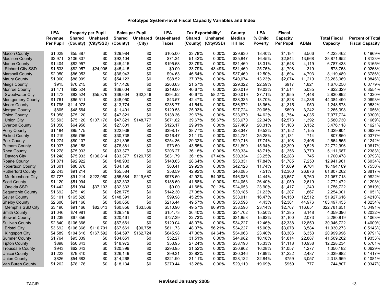|                          | <b>LEA</b>       |               | <b>Property per Pupil</b> |               | <b>Sales per Pupil</b> | <b>LEA</b>            |        | Tax Exportability*  | County        | <b>LEA</b>     | <b>Fiscal</b> |             |                     |                         |
|--------------------------|------------------|---------------|---------------------------|---------------|------------------------|-----------------------|--------|---------------------|---------------|----------------|---------------|-------------|---------------------|-------------------------|
|                          | <b>Revenue</b>   | <b>Shared</b> | <b>Unshared</b>           | <b>Shared</b> |                        | Unshared State-shared | Shared | <b>Unshared</b>     | <b>Median</b> | % Child        | Capacity      |             | <b>Total Fiscal</b> | <b>Percent of Total</b> |
|                          | <b>Per Pupil</b> | (County)      | (City/SSD)                | (County)      | (City)                 | <b>Taxes</b>          |        | (County) (City/SSD) | HH Inc        | <b>Poverty</b> | Per Pupil     | <b>ADMs</b> | Capacity            | <b>Fiscal Capacity</b>  |
| Macon County             | \$1,029          | \$55,387      | \$0                       | \$29,984      | \$0                    | \$105.00              | 33.78% | 0.00%               | \$29,930      | 18.40%         | \$1,184       | 3,566       | 4,223,462           | 0.1969%                 |
| <b>Madison County</b>    | \$2,971          | \$106,807     | \$0                       | \$92,104      | \$0                    | \$71.34               | 51.42% | 0.00%               | \$35,847      | 16.45%         | \$2,844       | 13,668      | 38,871,952          | 1.8123%                 |
| <b>Marion County</b>     | \$1,404          | \$82,957      | \$0                       | \$45,415      | \$0                    | \$195.68              | 33.79% | 0.00%               | \$31,460      | 18.31%         | \$1,648       | 4,119       | 6,787,438           | 0.3165%                 |
| <b>Richard City SSD</b>  | \$1,533          | \$82,957      | \$24,006                  | \$45,415      | \$0                    | \$0.00                | 33.79% | 43.49%              | \$31,460      | 25.75%         | \$1,798       | 319         | 573,758             | 0.0268%                 |
| <b>Marshall County</b>   | \$2,050          | \$86,053      | \$0                       | \$36,943      | \$0                    | \$94.63               | 46.64% | 0.00%               | \$37,469      | 12.50%         | \$1,694       | 4,793       | 8,119,489           | 0.3786%                 |
| <b>Maury County</b>      | \$1,960          | \$88,909      | \$0                       | \$54,123      | \$0                    | \$88.52               | 37.07% | 0.00%               | \$40,074      | 13.23%         | \$2,074       | 11,219      | 23,263,069          | 1.0846%                 |
| <b>Meigs County</b>      | \$915            | \$70,215      | \$0                       | \$17,426      | \$0                    | \$263.63              | 21.57% | 0.00%               | \$29,322      | 22.59%         | \$917         | 1,821       | 1,670,250           | 0.0779%                 |
| <b>Monroe County</b>     | \$1,471          | \$82,524      | \$0                       | \$39,604      | \$0                    | \$219.00              | 40.67% | 0.00%               | \$30,019      | 19.03%         | \$1,514       | 5,035       | 7,622,329           | 0.3554%                 |
| <b>Sweetwater City</b>   | \$1,473          | \$82,524      | \$55,876                  | \$39,604      | \$62,346               | \$294.92              | 40.67% | 58.27%              | \$30,019      | 27.71%         | \$1,955       | 1,448       | 2,830,892           | 0.1320%                 |
| <b>Montgomery County</b> | \$1,761          | \$65,511      | \$0                       | \$48,050      | \$0                    | \$43.57               | 42.47% | 0.00%               | \$38,335      | 13.70%         | \$1,828       | 24,286      | 44,384,490          | 2.0693%                 |
| <b>Moore County</b>      | \$1,795          | \$114,978     | \$0                       | \$13,774      | \$0                    | \$238.77              | 41.54% | 0.00%               | \$36,972      | 13.96%         | \$1,315       | 950         | 1,248,878           | 0.0582%                 |
| Morgan County            | \$805            | \$48,564      | \$0                       | \$11,401      | \$0                    | \$129.53              | 25.93% | 0.00%               | \$27,724      | 20.05%         | \$699         | 3,242       | 2,265,398           | 0.1056%                 |
| <b>Obion County</b>      | \$1,958          | \$75,120      | \$0                       | \$47,821      | \$0                    | \$138.36              | 39.67% | $0.00\%$            | \$33,670      | 14.62%         | \$1,754       | 4,035       | 7,077,724           | 0.3300%                 |
| <b>Union City</b>        | \$3,593          | \$75,120      | \$107,176                 | \$47,821      | \$148,777              | \$671.82              | 39.67% | 56.67%              | \$33,670      | 22.34%         | \$2,573       | 1,392       | 3,580,730           | 0.1669%                 |
| <b>Overton County</b>    | \$1,050          | \$64,956      | \$0                       | \$27,801      | \$0                    | \$126.17              | 29.91% | $0.00\%$            | \$27,469      | 20.31%         | \$1,103       | 3,152       | 3,476,118           | 0.1621%                 |
| <b>Perry County</b>      | \$1,184          | \$85,175      | \$0                       | \$22,938      | \$0                    | \$398.17              | 38.77% | 0.00%               | \$28,347      | 19.53%         | \$1,152       | 1,155       | 1,329,804           | 0.0620%                 |
| <b>Pickett County</b>    | \$1,219          | \$85,796      | \$0                       | \$30,738      | \$0                    | \$216.47              | 21.11% | $0.00\%$            | \$24,781      | 25.28%         | \$1,131       | 714         | 807,860             | 0.0377%                 |
| <b>Polk County</b>       | \$1,274          | \$80,107      | \$0                       | \$21,395      | \$0                    | \$254.36              | 29.32% | 0.00%               | \$29,716      | 17.74%         | \$1,108       | 2,406       | 2,664,555           | 0.1242%                 |
| <b>Putnam County</b>     | \$1,937          | \$96,158      | \$0                       | \$76,881      | \$0                    | \$73.50               | 43.55% | $0.00\%$            | \$31,899      | 15.94%         | \$2,390       | 9,528       | 22,772,996          | 1.0617%                 |
| <b>Rhea County</b>       | \$1,278          | \$75,933      | \$0                       | \$33,377      | \$0                    | \$206.27              | 36.18% | 0.00%               | \$30,334      | 18.71%         | \$1,356       | 3,770       | 5,111,687           | 0.2383%                 |
| Dayton City              | \$1,248          | \$75,933      | \$136,814                 | \$33,377      | \$129,755              | \$631.79              | 36.18% | 67.40%              | \$30,334      | 23.25%         | \$2,283       | 745         | 1,700,478           | 0.0793%                 |
| Roane County             | \$1,871          | \$92,922      | \$0                       | \$48,903      | \$0                    | \$148.63              | 28.64% | 0.00%               | \$33,331      | 17.84%         | \$1,785       | 7,250       | 12,941,961          | 0.6034%                 |
| <b>Robertson County</b>  | \$1,601          | \$80,876      | \$0                       | \$34,168      | \$0                    | \$60.41               | 29.92% | 0.00%               | \$42,126      | 11.74%         | \$1,669       | 9,704       | 16,194,189          | 0.7550%                 |
| <b>Rutherford County</b> | \$2,243          | \$91,214      | \$0                       | \$55,584      | \$0                    | \$58.59               | 42.92% | 0.00%               | \$46,085      | 7.51%          | \$2,300       | 26,876      | 61,807,262          | 2.8817%                 |
| <b>Murfreesboro City</b> | \$2,727          | \$91,214      | \$222,060                 | \$55,584      | \$219,667              | \$978.50              | 42.92% | 54.08%              | \$46,085      | 14.44%         | \$3,657       | 5,760       | 21,067,713          | 0.9822%                 |
| <b>Scott County</b>      | \$1,120          | \$51,994      | \$0                       | \$32,333      | \$0                    | \$188.60              | 41.68% | 0.00%               | \$24,053      | 26.40%         | \$1,059       | 2,619       | 2,772,472           | 0.1293%                 |
| Oneida SSD               | \$1,442          | \$51,994      | \$37,103                  | \$32,333      | \$0                    | \$0.00                | 41.68% | 70.13%              | \$24,053      | 23.90%         | \$1,417       | 1,240       | 1,756,722           | 0.0819%                 |
| Seguatchie County        | \$1,692          | \$75,149      | \$0                       | \$28,775      | \$0                    | \$142.30              | 27.38% | 0.00%               | \$30,185      | 21.23%         | \$1,207       | 1,867       | 2,254,001           | 0.1051%                 |
| <b>Sevier County</b>     | \$3,101          | \$165,620     | \$0                       | \$148,391     | \$0                    | \$99.98               | 45.25% | 0.00%               | \$33,011      | 16.47%         | \$4,150       | 12,512      | 51,927,616          | 2.4210%                 |
| <b>Shelby County</b>     | \$2,600          | \$91,166      | \$0                       | \$60,856      | \$0                    | \$216.44              | 49.57% | 0.00%               | \$38,596      | 4.43%          | \$2,301       | 44,976      | 103,497,455         | 4.8254%                 |
| <b>Memphis SSD City</b>  | \$3,190          | \$91,166      | \$82,013                  | \$60,856      | \$63,566               | \$510.90              | 49.57% | 60.91%              | \$38,596      | 23.14%         | \$2,767       | 116,651     | 322,781,651         | 15.0491%                |
| Smith County             | \$1,046          | \$74,981      | \$0                       | \$29,319      | \$0                    | \$151.73              | 36.40% | 0.00%               | \$34,702      | 15.50%         | \$1,385       | 3,148       | 4,359,396           | 0.2032%                 |
| <b>Stewart County</b>    | \$1,239          | \$67,356      | \$0                       | \$20,461      | \$0                    | \$727.39              | 22.73% | 0.00%               | \$31,858      | 15.62%         | \$1,100       | 2,073       | 2,280,819           | 0.1063%                 |
| <b>Sullivan County</b>   | \$2,840          | \$106,366     | \$0                       | \$67,661      | \$0                    | \$129.04              | 48.07% | 0.00%               | \$34,227      | 12.46%         | \$2,338       | 12,850      | 30,046,722          | 1.4009%                 |
| <b>Bristol City</b>      | \$3,692          | \$106,366     | \$110,701                 | \$67,661      | \$90,758               | \$611.73              | 48.07% | 56.21%              | \$34,227      | 15.00%         | \$3,078       | 3,584       | 11,030,273          | 0.5143%                 |
| <b>Kingsport City</b>    | \$4,589          | \$104,616     | \$167,592                 | \$64,597      | \$162,724              | \$645.98              | 47.36% | 64.64%              | \$34,068      | 23.40%         | \$3,306       | 6,353       | 20,999,996          | 0.9791%                 |
| <b>Sumner County</b>     | \$1,764          | \$95,039      | \$0                       | \$34,651      | \$0                    | \$52.27               | 31.51% | 0.00%               | \$44,982      | 10.18%         | \$1,814       | 22,887      | 41,509,262          | 1.9353%                 |
| Tipton County            | \$898            | \$50,843      | \$0                       | \$18,972      | \$0                    | \$53.95               | 27.24% | 0.00%               | \$38,190      | 15.33%         | \$1,118       | 10,938      | 12,228,234          | 0.5701%                 |
| <b>Trousdale County</b>  | \$943            | \$62,043      | \$0                       | \$20,399      | \$0                    | \$293.95              | 31.52% | 0.00%               | \$30,902      | 16.28%         | \$1,057       | 1,277       | 1,350,182           | 0.0629%                 |
| <b>Unicoi County</b>     | \$1,223          | \$79,810      | \$0                       | \$26,149      | \$0                    | \$99.31               | 33.82% | $0.00\%$            | \$30,346      | 17.69%         | \$1,222       | 2,487       | 3,039,982           | 0.1417%                 |
| <b>Union County</b>      | \$826            | \$54,683      | \$0                       | \$14,268      | \$0                    | \$221.90              | 21.11% | 0.00%               | \$28,132      | 22.84%         | \$759         | 3,057       | 2,318,969           | 0.1081%                 |
| Van Buren County         | \$1,262          | \$78,176      | \$0                       | \$18,134      | \$0                    | \$270.44              | 13.26% | $0.00\%$            | \$29,110      | 19.69%         | \$959         | 777         | 744,807             | 0.0347%                 |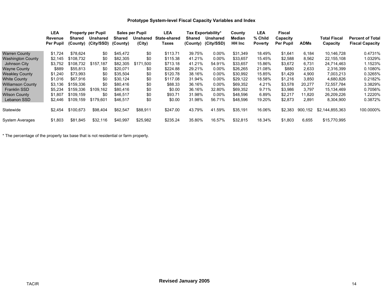|                       | <b>LEA</b>       | <b>Property per Pupil</b> |            | Sales per Pupil | LEA             |                     | Tax Exportability* | County          | LEA           | Fiscal         |                  |             |                     |                         |
|-----------------------|------------------|---------------------------|------------|-----------------|-----------------|---------------------|--------------------|-----------------|---------------|----------------|------------------|-------------|---------------------|-------------------------|
|                       | Revenue          | Shared                    | Unshared   | Shared          | <b>Unshared</b> | <b>State-shared</b> | Shared             | <b>Unshared</b> | Median        | % Child        | Capacity         |             | <b>Total Fiscal</b> | <b>Percent of Total</b> |
|                       | <b>Per Pupil</b> | (County)                  | (City/SSD) | (County)        | (City)          | Taxes               | (County)           | (City/SSD)      | <b>HH Inc</b> | <b>Poverty</b> | <b>Per Pupil</b> | <b>ADMs</b> | Capacity            | <b>Fiscal Capacity</b>  |
| Warren County         | \$1,724          | \$78.624                  | \$0        | \$45,472        | \$0             | \$113.71            | 39.75%             | $0.00\%$        | \$31,349      | 18.49%         | \$1,641          | 6,184       | 10,146,728          | 0.4731%                 |
| Washington County     | \$2,145          | \$108.732                 | \$0        | \$82,305        | \$0             | \$115.38            | 41.21%             | $0.00\%$        | \$33,657      | 15.45%         | \$2,588          | 8,562       | 22,155,108          | 1.0329%                 |
| Johnson City          | \$3,752          | \$108.732                 | \$157,187  | \$82,305        | \$171.500       | \$713.18            | 41.21%             | 54.91%          | \$33,657      | 15.86%         | \$3,672          | 6,731       | 24,714,463          | 1.1523%                 |
| <b>Wayne County</b>   | \$889            | \$55.813                  | \$0        | \$20.071        | \$0             | \$224.88            | 29.21%             | $0.00\%$        | \$26,265      | 21.08%         | \$880            | 2,633       | 2,316,399           | 0.1080%                 |
| <b>Weakley County</b> | \$1,240          | \$73,993                  | \$0        | \$35,504        | \$0             | \$120.78            | 38.16%             | $0.00\%$        | \$30,992      | 15.85%         | \$1,429          | 4,900       | 7,003,213           | 0.3265%                 |
| <b>White County</b>   | \$1,016          | \$67.916                  | \$0        | \$30,124        | \$0             | \$117.08            | 31.94%             | $0.00\%$        | \$29,122      | 18.58%         | \$1,216          | 3,850       | 4,680,826           | 0.2182%                 |
| Williamson County     | \$3,136          | \$159.336                 | \$0        | \$80,416        | \$0             | \$88.33             | 36.16%             | $0.00\%$        | \$69,352      | 4.21%          | \$3,578          | 20,277      | 72,557,784          | 3.3829%                 |
| <b>Franklin SSD</b>   | \$5,234          | \$159.336                 | \$109,162  | \$80,416        | \$0             | \$0.00              | 36.16%             | 32.80%          | \$69,352      | 9.71%          | \$3,986          | 3,797       | 15, 134, 469        | 0.7056%                 |
| Wilson County         | \$1,807          | \$109,159                 | \$0        | \$46,517        | \$0             | \$93.71             | 31.98%             | $0.00\%$        | \$48,596      | 6.89%          | \$2,217          | 11,820      | 26,209,226          | 1.2220%                 |
| Lebanon SSD           | \$2,446          | \$109.159                 | \$179,601  | \$46,517        | \$0             | \$0.00              | 31.98%             | 56.71%          | \$48,596      | 19.20%         | \$2,873          | 2,891       | 8,304,900           | 0.3872%                 |
| Statewide             | \$2,454          | \$100.673                 | \$98,404   | \$62,547        | \$88,911        | \$247.00            | 43.79%             | 41.59%          | \$35,191      | 16.06%         | \$2,383          | 900.152     | \$2,144,855,363     | 100.0000%               |
| System Averages       | \$1,803          | \$81.845                  | \$32,116   | \$40,997        | \$25,982        | \$235.24            | 35.80%             | 16.57%          | \$32,815      | 18.34%         | \$1,803          | 6,655       | \$15,770,995        |                         |

\* The percentage of the property tax base that is not residential or farm property.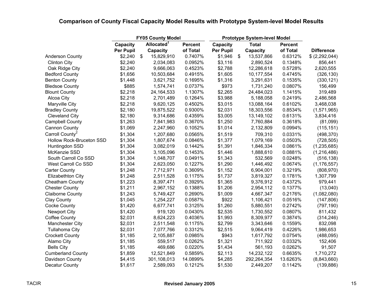|                             |                  | <b>FY05 County Model</b>    | <b>Prototype System-level Model</b> |           |                |              |                |                   |
|-----------------------------|------------------|-----------------------------|-------------------------------------|-----------|----------------|--------------|----------------|-------------------|
|                             | Capacity         | Allocated <sup>1</sup>      | <b>Percent</b>                      | Capacity  |                | <b>Total</b> | <b>Percent</b> |                   |
|                             | <b>Per Pupil</b> | Capacity                    | of Total                            | Per Pupil |                | Capacity     | of Total       | <b>Difference</b> |
| <b>Anderson County</b>      | \$2,240          | 15,829,910<br>$\frac{1}{2}$ | 0.7407%                             | \$1,946   | $\mathfrak{F}$ | 13,537,866   | 0.6312%        | \$(2,292,044)     |
| <b>Clinton City</b>         | \$2,240          | 2,034,083                   | 0.0952%                             | \$3,116   |                | 2,890,524    | 0.1348%        | 856,441           |
| Oak Ridge City              | \$2,240          | 9,666,063                   | 0.4523%                             | \$2,788   |                | 12,286,618   | 0.5728%        | 2,620,555         |
| <b>Bedford County</b>       | \$1,656          | 10,503,684                  | 0.4915%                             | \$1,605   |                | 10,177,554   | 0.4745%        | (326, 130)        |
| <b>Benton County</b>        | \$1,448          | 3,621,752                   | 0.1695%                             | \$1,316   |                | 3,291,631    | 0.1535%        | (330, 121)        |
| <b>Bledsoe County</b>       | \$885            | 1,574,741                   | 0.0737%                             | \$973     |                | 1,731,240    | 0.0807%        | 156,499           |
| <b>Blount County</b>        | \$2,218          | 24, 164, 533                | 1.1307%                             | \$2,265   |                | 24,484,023   | 1.1415%        | 319,489           |
| Alcoa City                  | \$2,218          | 2,701,489                   | 0.1264%                             | \$3,988   |                | 5,188,058    | 0.2419%        | 2,486,568         |
| Maryville City              | \$2,218          | 9,620,125                   | 0.4502%                             | \$3,015   |                | 13,088,164   | 0.6102%        | 3,468,038         |
| <b>Bradley County</b>       | \$2,180          | 19,875,522                  | 0.9300%                             | \$2,031   |                | 18,303,556   | 0.8534%        | (1,571,965)       |
| <b>Cleveland City</b>       | \$2,180          | 9,314,686                   | 0.4359%                             | \$3,005   |                | 13,149,102   | 0.6131%        | 3,834,416         |
| <b>Campbell County</b>      | \$1,263          | 7,841,983                   | 0.3670%                             | \$1,250   |                | 7,760,884    | 0.3618%        | (81,099)          |
| <b>Cannon County</b>        | \$1,069          | 2,247,960                   | 0.1052%                             | \$1,014   |                | 2,132,809    | 0.0994%        | (115, 151)        |
| Carroll County <sup>2</sup> | \$1,304          | 1,207,680                   | 0.0565%                             | \$1,519   |                | 709,310      | 0.0331%        | (498, 370)        |
| Hollow Rock-Bruceton SSD    | \$1,304          | 1,807,674                   | 0.0846%                             | \$1,377   |                | 1,079,169    | 0.0503%        | (728, 505)        |
| Huntingdon SSD              | \$1,304          | 3,082,019                   | 0.1442%                             | \$1,391   |                | 1,846,334    | 0.0861%        | (1, 235, 685)     |
| McKenzie SSD                | \$1,304          | 3,105,096                   | 0.1453%                             | \$1,446   |                | 1,888,610    | 0.0881%        | (1,216,486)       |
| South Carroll Co SSD        | \$1,304          | 1,048,707                   | 0.0491%                             | \$1,343   |                | 532,569      | 0.0248%        | (516, 138)        |
| West Carroll Co SSD         | \$1,304          | 2,623,050                   | 0.1227%                             | \$1,290   |                | 1,446,492    | 0.0674%        | (1, 176, 557)     |
| <b>Carter County</b>        | \$1,248          | 7,712,971                   | 0.3609%                             | \$1,152   |                | 6,904,001    | 0.3219%        | (808, 970)        |
| <b>Elizabethton City</b>    | \$1,248          | 2,511,528                   | 0.1175%                             | \$1,737   |                | 3,819,327    | 0.1781%        | 1,307,799         |
| <b>Cheatham County</b>      | \$1,223          | 8,397,471                   | 0.3929%                             | \$1,365   |                | 9,376,912    | 0.4372%        | 979,441           |
| <b>Chester County</b>       | \$1,211          | 2,967,152                   | 0.1388%                             | \$1,206   |                | 2,954,112    | 0.1377%        | (13,040)          |
| <b>Claiborne County</b>     | \$1,243          | 5,749,427                   | 0.2690%                             | \$1,009   |                | 4,667,347    | 0.2176%        | (1,082,080)       |
| <b>Clay County</b>          | \$1,045          | 1,254,227                   | 0.0587%                             | \$922     |                | 1,106,421    | 0.0516%        | (147, 806)        |
| <b>Cocke County</b>         | \$1,420          | 6,677,741                   | 0.3125%                             | \$1,260   |                | 5,880,551    | 0.2742%        | (797, 190)        |
| <b>Newport City</b>         | \$1,420          | 919,120                     | 0.0430%                             | \$2,535   |                | 1,730,552    | 0.0807%        | 811,432           |
| <b>Coffee County</b>        | \$2,031          | 8,624,223                   | 0.4036%                             | \$1,993   |                | 8,309,977    | 0.3874%        | (314, 246)        |
| Manchester City             | \$2,031          | 2,511,548                   | 0.1175%                             | \$2,799   |                | 3,343,646    | 0.1559%        | 832,098           |
| <b>Tullahoma City</b>       | \$2,031          | 7,077,766                   | 0.3312%                             | \$2,515   |                | 9,064,419    | 0.4226%        | 1,986,653         |
| <b>Crockett County</b>      | \$1,185          | 2,105,887                   | 0.0985%                             | \$943     |                | 1,617,792    | 0.0754%        | (488,095)         |
| Alamo City                  | \$1,185          | 559,517                     | 0.0262%                             | \$1,321   |                | 711,922      | 0.0332%        | 152,406           |
| <b>Bells City</b>           | \$1,185          | 469,686                     | 0.0220%                             | \$1,434   |                | 561,193      | 0.0262%        | 91,507            |
| <b>Cumberland County</b>    | \$1,859          | 12,521,849                  | 0.5859%                             | \$2,113   |                | 14,232,122   | 0.6635%        | 1,710,272         |
| Davidson County             | \$4,415          | 301,108,013                 | 14.0899%                            | \$4,285   |                | 292,264,354  | 13.6263%       | (8,843,660)       |
| Decatur County              | \$1,617          | 2,589,093                   | 0.1212%                             | \$1,530   |                | 2,449,207    | 0.1142%        | (139, 886)        |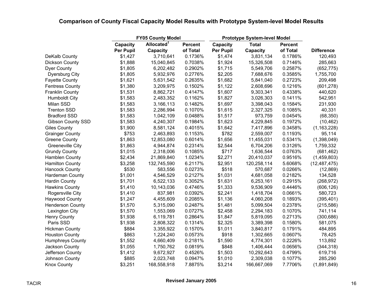|                         |                  | <b>FY05 County Model</b> |                | <b>Prototype System-level Model</b> |              |                |                   |
|-------------------------|------------------|--------------------------|----------------|-------------------------------------|--------------|----------------|-------------------|
|                         | Capacity         | Allocated <sup>1</sup>   | <b>Percent</b> | Capacity                            | <b>Total</b> | <b>Percent</b> |                   |
|                         | <b>Per Pupil</b> | Capacity                 | of Total       | Per Pupil                           | Capacity     | of Total       | <b>Difference</b> |
| DeKalb County           | \$1,427          | 3,710,641                | 0.1736%        | \$1,474                             | 3,831,134    | 0.1786%        | 120,493           |
| Dickson County          | \$1,888          | 15,040,845               | 0.7038%        | \$1,924                             | 15,326,508   | 0.7146%        | 285,663           |
| <b>Dyer County</b>      | \$1,805          | 6,202,482                | 0.2902%        | \$1,715                             | 5,549,706    | 0.2587%        | (652, 775)        |
| <b>Dyersburg City</b>   | \$1,805          | 5,932,976                | 0.2776%        | \$2,205                             | 7,688,676    | 0.3585%        | 1,755,700         |
| <b>Fayette County</b>   | \$1,621          | 5,631,542                | 0.2635%        | \$1,682                             | 5,841,040    | 0.2723%        | 209,498           |
| <b>Fentress County</b>  | \$1,380          | 3,209,975                | 0.1502%        | \$1,122                             | 2,608,696    | 0.1216%        | (601, 278)        |
| <b>Franklin County</b>  | \$1,531          | 8,862,721                | 0.4147%        | \$1,607                             | 9,303,341    | 0.4338%        | 440,620           |
| <b>Humboldt City</b>    | \$1,583          | 2,483,352                | 0.1162%        | \$1,827                             | 3,026,303    | 0.1411%        | 542,951           |
| Milan SSD               | \$1,583          | 3,166,113                | 0.1482%        | \$1,697                             | 3,398,043    | 0.1584%        | 231,930           |
| <b>Trenton SSD</b>      | \$1,583          | 2,286,994                | 0.1070%        | \$1,615                             | 2,327,325    | 0.1085%        | 40,331            |
| <b>Bradford SSD</b>     | \$1,583          | 1,042,109                | 0.0488%        | \$1,517                             | 973,759      | 0.0454%        | (68, 350)         |
| Gibson County SSD       | \$1,583          | 4,240,307                | 0.1984%        | \$1,623                             | 4,229,845    | 0.1972%        | (10, 462)         |
| <b>Giles County</b>     | \$1,900          | 8,581,124                | 0.4015%        | \$1,642                             | 7,417,896    | 0.3458%        | (1, 163, 228)     |
| <b>Grainger County</b>  | \$753            | 2,463,893                | 0.1153%        | \$782                               | 2,559,007    | 0.1193%        | 95,114            |
| <b>Greene County</b>    | \$1,863          | 12,853,080               | 0.6014%        | \$1,656                             | 11,455,031   | 0.5341%        | (1,398,049)       |
| <b>Greeneville City</b> | \$1,863          | 4,944,874                | 0.2314%        | \$2,544                             | 6,704,206    | 0.3126%        | 1,759,332         |
| <b>Grundy County</b>    | \$1,015          | 2,318,006                | 0.1085%        | \$717                               | 1,636,544    | 0.0763%        | (681, 462)        |
| Hamblen County          | \$2,434          | 21,869,840               | 1.0234%        | \$2,271                             | 20,410,037   | 0.9516%        | (1,459,803)       |
| <b>Hamilton County</b>  | \$3,258          | 132,745,590              | 6.2117%        | \$2,951                             | 120,258,114  | 5.6068%        | (12, 487, 475)    |
| <b>Hancock County</b>   | \$530            | 583,556                  | 0.0273%        | \$518                               | 570,687      | 0.0266%        | (12, 869)         |
| Hardeman County         | \$1,001          | 4,546,529                | 0.2127%        | \$1,031                             | 4,681,058    | 0.2182%        | 134,528           |
| <b>Hardin County</b>    | \$1,701          | 6,522,133                | 0.3052%        | \$1,631                             | 6,253,161    | 0.2915%        | (268, 972)        |
| <b>Hawkins County</b>   | \$1,410          | 10,143,036               | 0.4746%        | \$1,333                             | 9,536,909    | 0.4446%        | (606, 126)        |
| Rogersville City        | \$1,410          | 837,981                  | 0.0392%        | \$2,241                             | 1,418,704    | 0.0661%        | 580,723           |
| <b>Haywood County</b>   | \$1,247          | 4,455,609                | 0.2085%        | \$1,136                             | 4,060,208    | 0.1893%        | (395, 401)        |
| <b>Henderson County</b> | \$1,570          | 5,315,090                | 0.2487%        | \$1,481                             | 5,099,504    | 0.2378%        | (215, 586)        |
| <b>Lexington City</b>   | \$1,570          | 1,553,069                | 0.0727%        | \$2,458                             | 2,294,183    | 0.1070%        | 741,114           |
| <b>Henry County</b>     | \$1,938          | 6,119,781                | 0.2864%        | \$1,847                             | 5,819,095    | 0.2713%        | (300, 686)        |
| Paris SSD               | \$1,938          | 2,808,322                | 0.1314%        | \$2,325                             | 3,389,398    | 0.1580%        | 581,075           |
| <b>Hickman County</b>   | \$884            | 3,355,922                | 0.1570%        | \$1,011                             | 3,840,817    | 0.1791%        | 484,895           |
| <b>Houston County</b>   | \$863            | 1,224,240                | 0.0573%        | \$918                               | 1,302,665    | 0.0607%        | 78,425            |
| <b>Humphreys County</b> | \$1,552          | 4,660,409                | 0.2181%        | \$1,590                             | 4,774,301    | 0.2226%        | 113,892           |
| Jackson County          | \$1,055          | 1,750,762                | 0.0819%        | \$848                               | 1,406,444    | 0.0656%        | (344, 318)        |
| Jefferson County        | \$1,412          | 9,672,927                | 0.4526%        | \$1,503                             | 10,292,643   | 0.4799%        | 619,716           |
| Johnson County          | \$885            | 2,023,748                | 0.0947%        | \$1,010                             | 2,309,038    | 0.1077%        | 285,290           |
| <b>Knox County</b>      | \$3,251          | 168,558,918              | 7.8875%        | \$3,214                             | 166,667,069  | 7.7706%        | (1,891,849)       |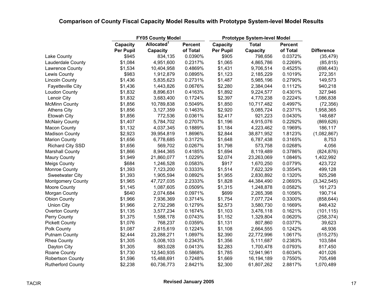|                          |           | <b>FY05 County Model</b> |                | <b>Prototype System-level Model</b> |              |                |                   |
|--------------------------|-----------|--------------------------|----------------|-------------------------------------|--------------|----------------|-------------------|
|                          | Capacity  | Allocated <sup>1</sup>   | <b>Percent</b> | Capacity                            | <b>Total</b> | <b>Percent</b> |                   |
|                          | Per Pupil | Capacity                 | of Total       | <b>Per Pupil</b>                    | Capacity     | of Total       | <b>Difference</b> |
| Lake County              | \$945     | 834,135                  | 0.0390%        | \$905                               | 798,656      | 0.0372%        | (35, 479)         |
| Lauderdale County        | \$1,084   | 4,951,600                | 0.2317%        | \$1,065                             | 4,865,786    | 0.2269%        | (85, 815)         |
| Lawrence County          | \$1,534   | 10,404,958               | 0.4869%        | \$1,431                             | 9,706,514    | 0.4525%        | (698, 443)        |
| Lewis County             | \$983     | 1,912,879                | 0.0895%        | \$1,123                             | 2,185,229    | 0.1019%        | 272,351           |
| <b>Lincoln County</b>    | \$1,436   | 5,835,623                | 0.2731%        | \$1,487                             | 5,985,196    | 0.2790%        | 149,573           |
| <b>Fayetteville City</b> | \$1,436   | 1,443,826                | 0.0676%        | \$2,280                             | 2,384,044    | 0.1112%        | 940,218           |
| Loudon County            | \$1,832   | 8,896,631                | 0.4163%        | \$1,892                             | 9,224,577    | 0.4301%        | 327,946           |
| Lenoir City              | \$1,832   | 3,683,400                | 0.1724%        | \$2,397                             | 4,770,238    | 0.2224%        | 1,086,838         |
| <b>McMinn County</b>     | \$1,856   | 10,789,838               | 0.5049%        | \$1,850                             | 10,717,482   | 0.4997%        | (72, 356)         |
| <b>Athens City</b>       | \$1,856   | 3,127,359                | 0.1463%        | \$2,920                             | 5,085,724    | 0.2371%        | 1,958,365         |
| <b>Etowah City</b>       | \$1,856   | 772,536                  | 0.0361%        | \$2,417                             | 921,223      | 0.0430%        | 148,687           |
| <b>McNairy County</b>    | \$1,407   | 5,784,702                | 0.2707%        | \$1,196                             | 4,915,076    | 0.2292%        | (869, 626)        |
| Macon County             | \$1,132   | 4,037,345                | 0.1889%        | \$1,184                             | 4,223,462    | 0.1969%        | 186,117           |
| <b>Madison County</b>    | \$2,923   | 39,954,819               | 1.8696%        | \$2,844                             | 38,871,952   | 1.8123%        | (1,082,867)       |
| <b>Marion County</b>     | \$1,656   | 6,778,685                | 0.3172%        | \$1,648                             | 6,787,438    | 0.3165%        | 8,753             |
| <b>Richard City SSD</b>  | \$1,656   | 569,702                  | 0.0267%        | \$1,798                             | 573,758      | 0.0268%        | 4,056             |
| <b>Marshall County</b>   | \$1,866   | 8,944,365                | 0.4185%        | \$1,694                             | 8,119,489    | 0.3786%        | (824, 876)        |
| <b>Maury County</b>      | \$1,949   | 21,860,077               | 1.0229%        | \$2,074                             | 23,263,069   | 1.0846%        | 1,402,992         |
| <b>Meigs County</b>      | \$684     | 1,246,528                | 0.0583%        | \$917                               | 1,670,250    | 0.0779%        | 423,722           |
| Monroe County            | \$1,393   | 7,123,200                | 0.3333%        | \$1,514                             | 7,622,329    | 0.3554%        | 499,128           |
| <b>Sweetwater City</b>   | \$1,393   | 1,905,594                | 0.0892%        | \$1,955                             | 2,830,892    | 0.1320%        | 925,298           |
| <b>Montgomery County</b> | \$1,965   | 47,727,035               | 2.2333%        | \$1,828                             | 44,384,490   | 2.0693%        | (3,342,545)       |
| Moore County             | \$1,145   | 1,087,605                | 0.0509%        | \$1,315                             | 1,248,878    | 0.0582%        | 161,273           |
| Morgan County            | \$640     | 2,074,684                | 0.0971%        | \$699                               | 2,265,398    | 0.1056%        | 190,714           |
| <b>Obion County</b>      | \$1,966   | 7,936,369                | 0.3714%        | \$1,754                             | 7,077,724    | 0.3300%        | (858, 644)        |
| <b>Union City</b>        | \$1,966   | 2,732,298                | 0.1279%        | \$2,573                             | 3,580,730    | 0.1669%        | 848,432           |
| Overton County           | \$1,135   | 3,577,234                | 0.1674%        | \$1,103                             | 3,476,118    | 0.1621%        | (101, 115)        |
| Perry County             | \$1,375   | 1,588,178                | 0.0743%        | \$1,152                             | 1,329,804    | 0.0620%        | (258, 374)        |
| <b>Pickett County</b>    | \$1,076   | 768,237                  | 0.0359%        | \$1,131                             | 807,860      | 0.0377%        | 39,623            |
| Polk County              | \$1,087   | 2,615,619                | 0.1224%        | \$1,108                             | 2,664,555    | 0.1242%        | 48,936            |
| <b>Putnam County</b>     | \$2,444   | 23,288,271               | 1.0897%        | \$2,390                             | 22,772,996   | 1.0617%        | (515, 275)        |
| <b>Rhea County</b>       | \$1,305   | 5,008,103                | 0.2343%        | \$1,356                             | 5,111,687    | 0.2383%        | 103,584           |
| Dayton City              | \$1,305   | 883,028                  | 0.0413%        | \$2,283                             | 1,700,478    | 0.0793%        | 817,450           |
| Roane County             | \$1,730   | 12,540,935               | 0.5868%        | \$1,785                             | 12,941,961   | 0.6034%        | 401,026           |
| <b>Robertson County</b>  | \$1,596   | 15,488,691               | 0.7248%        | \$1,669                             | 16,194,189   | 0.7550%        | 705,498           |
| <b>Rutherford County</b> | \$2,238   | 60,736,773               | 2.8421%        | \$2,300                             | 61,807,262   | 2.8817%        | 1,070,489         |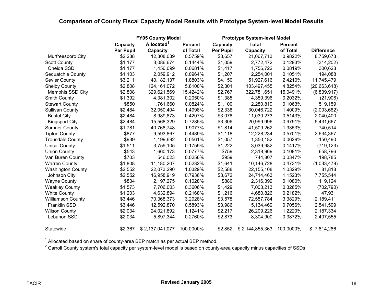|                          | <b>FY05 County Model</b> |                        |                | <b>Prototype System-level Model</b> |                 |                |                   |
|--------------------------|--------------------------|------------------------|----------------|-------------------------------------|-----------------|----------------|-------------------|
|                          | Capacity                 | Allocated <sup>1</sup> | <b>Percent</b> | Capacity                            | <b>Total</b>    | <b>Percent</b> |                   |
|                          | <b>Per Pupil</b>         | Capacity               | of Total       | <b>Per Pupil</b>                    | Capacity        | of Total       | <b>Difference</b> |
| Murfreesboro City        | \$2,238                  | 12,308,039             | 0.5759%        | \$3,657                             | 21,067,713      | 0.9822%        | 8,759,673         |
| <b>Scott County</b>      | \$1,177                  | 3,086,674              | 0.1444%        | \$1,059                             | 2,772,472       | 0.1293%        | (314, 202)        |
| Oneida SSD               | \$1,177                  | 1,456,099              | 0.0681%        | \$1,417                             | 1,756,722       | 0.0819%        | 300,623           |
| Sequatchie County        | \$1,103                  | 2,059,912              | 0.0964%        | \$1,207                             | 2,254,001       | 0.1051%        | 194,088           |
| <b>Sevier County</b>     | \$3,211                  | 40,182,137             | 1.8803%        | \$4,150                             | 51,927,616      | 2.4210%        | 11,745,479        |
| <b>Shelby County</b>     | \$2,808                  | 124, 161, 072          | 5.8100%        | \$2,301                             | 103,497,455     | 4.8254%        | (20,663,618)      |
| Memphis SSD City         | \$2,808                  | 329,621,569            | 15.4242%       | \$2,767                             | 322,781,651     | 15.0491%       | (6,839,917)       |
| <b>Smith County</b>      | \$1,392                  | 4,381,302              | 0.2050%        | \$1,385                             | 4,359,396       | 0.2032%        | (21, 906)         |
| <b>Stewart County</b>    | \$850                    | 1,761,660              | 0.0824%        | \$1,100                             | 2,280,819       | 0.1063%        | 519,159           |
| <b>Sullivan County</b>   | \$2,484                  | 32,050,404             | 1.4998%        | \$2,338                             | 30,046,722      | 1.4009%        | (2,003,682)       |
| <b>Bristol City</b>      | \$2,484                  | 8,989,873              | 0.4207%        | \$3,078                             | 11,030,273      | 0.5143%        | 2,040,400         |
| <b>Kingsport City</b>    | \$2,484                  | 15,568,329             | 0.7285%        | \$3,306                             | 20,999,996      | 0.9791%        | 5,431,667         |
| <b>Sumner County</b>     | \$1,781                  | 40,768,748             | 1.9077%        | \$1,814                             | 41,509,262      | 1.9353%        | 740,514           |
| <b>Tipton County</b>     | \$877                    | 9,593,867              | 0.4489%        | \$1,118                             | 12,228,234      | 0.5701%        | 2,634,367         |
| <b>Trousdale County</b>  | \$939                    | 1,199,692              | 0.0561%        | \$1,057                             | 1,350,182       | 0.0629%        | 150,490           |
| Unicoi County            | \$1,511                  | 3,759,105              | 0.1759%        | \$1,222                             | 3,039,982       | 0.1417%        | (719, 123)        |
| <b>Union County</b>      | \$543                    | 1,660,173              | 0.0777%        | \$759                               | 2,318,969       | 0.1081%        | 658,796           |
| Van Buren County         | \$703                    | 546,023                | 0.0256%        | \$959                               | 744,807         | 0.0347%        | 198,785           |
| <b>Warren County</b>     | \$1,808                  | 11,180,207             | 0.5232%        | \$1,641                             | 10,146,728      | 0.4731%        | (1,033,479)       |
| <b>Washington County</b> | \$2,552                  | 22,073,290             | 1.0329%        | \$2,588                             | 22, 155, 108    | 1.0329%        | 81,818            |
| Johnson City             | \$2,552                  | 16,958,919             | 0.7936%        | \$3,672                             | 24,714,463      | 1.1523%        | 7,755,544         |
| <b>Wayne County</b>      | \$834                    | 2,197,275              | 0.1028%        | \$880                               | 2,316,399       | 0.1080%        | 119,124           |
| <b>Weakley County</b>    | \$1,573                  | 7,706,003              | 0.3606%        | \$1,429                             | 7,003,213       | 0.3265%        | (702, 790)        |
| <b>White County</b>      | \$1,203                  | 4,632,894              | 0.2168%        | \$1,216                             | 4,680,826       | 0.2182%        | 47,931            |
| <b>Williamson County</b> | \$3,446                  | 70,368,373             | 3.2928%        | \$3,578                             | 72,557,784      | 3.3829%        | 2,189,411         |
| Franklin SSD             | \$3,446                  | 12,592,870             | 0.5893%        | \$3,986                             | 15,134,469      | 0.7056%        | 2,541,599         |
| <b>Wilson County</b>     | \$2,034                  | 24,021,892             | 1.1241%        | \$2,217                             | 26,209,226      | 1.2220%        | 2,187,334         |
| Lebanon SSD              | \$2,034                  | 5,897,344              | 0.2760%        | \$2,873                             | 8,304,900       | 0.3872%        | 2,407,555         |
| Statewide                | \$2,367                  | \$2,137,041,077        | 100.0000%      | \$2,852                             | \$2,144,855,363 | 100.0000%      | \$7,814,286       |

 $^1$  Allocated based on share of county-area BEP match as per actual BEP method.

 $^2$  Carroll County system's total capacity per system-level model is based on county-area capacity minus capacities of SSDs.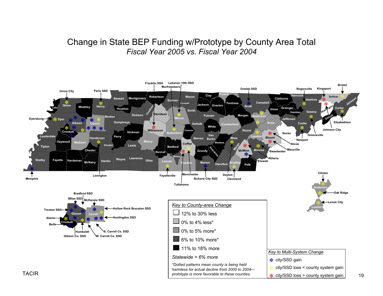### Change in State BEP Funding w/Prototype by County Area Total *Fiscal Year 2005 vs. Fiscal Year 2004*



19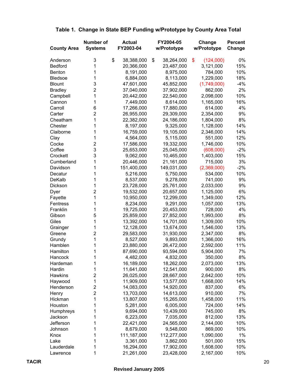#### **Number of Actual FY2004-05 Change Percent County Area Systems FY2003-04 w/Prototype w/Prototype Change** Anderson 3 \$ 38,388,000 \$ 38,264,000 \$ (124,000) 0% Bedford 1 20,366,000 23,487,000 3,121,000 15% Benton 1 8,191,000 8,975,000 784,000 10% Bledsoe 1 6,884,000 8,113,000 1,229,000 18% Blount 3 47,601,000 45,852,000 (1,749,000) -4% Bradley 2 37,040,000 37,902,000 862,000 2% Campbell 1 20,442,000 22,540,000 2,098,000 10% Cannon 1 7,449,000 8,614,000 1,165,000 16% Carroll 6 17,266,000 17,880,000 614,000 4% Carter 2 26,955,000 29,309,000 2,354,000 9% Cheatham 1 22,382,000 24,186,000 1,804,000 8% Chester 1 8,197,000 9,325,000 1,128,000 14% Claiborne 1 16,759,000 19,105,000 2,346,000 14% Clay 1 4,564,000 5,115,000 551,000 12% Cocke 2 17,586,000 19,332,000 1,746,000 10% Coffee 3 25,653,000 25,045,000 (608,000) -2% Crockett 3 9,062,000 10,465,000 1,403,000 15% Cumberland 1 20,446,000 21,161,000 715,000 3% Davidson 1 151,400,000 149,031,000 (2,369,000) -2% Decatur 1 5,216,000 5,750,000 534,000 10% DeKalb 1 8,537,000 9,278,000 741,000 9% Dickson 1 23,728,000 25,761,000 2,033,000 9% Dyer 2 19,532,000 20,657,000 1,125,000 6% Fayette 1 10,950,000 12,299,000 1,349,000 12% Fentress 1 8,234,000 9,291,000 1,057,000 13% Franklin 1 19,725,000 20,453,000 728,000 4% Gibson 5 25,859,000 27,852,000 1,993,000 8% Giles 1 1 13,392,000 14,701,000 1,309,000 10% Grainger 1 1 12,128,000 13,674,000 1,546,000 13% Greene 2 29,583,000 31,930,000 2,347,000 8% Grundy 1 8,527,000 9,893,000 1,366,000 16% Hamblen 1 23,880,000 26,472,000 2,592,000 11% Hamilton 1 87,690,000 93,594,000 5,904,000 7% Hancock 1 4,482,000 4,832,000 350,000 8% Hardeman 1 16,189,000 18,262,000 2,073,000 13% Hardin 1 11,641,000 12,541,000 900,000 8% Hawkins 2 26,025,000 28,667,000 2,642,000 10% Haywood 1 1,909,000 13,577,000 1,668,000 14% Henderson 2 14,083,000 14,920,000 837,000 6% Henry 2 13,703,000 14,613,000 910,000 7% Hickman 1 13,807,000 15,265,000 1,458,000 11% Houston 1 5,281,000 6,005,000 724,000 14% Humphreys 1 9,694,000 10,439,000 745,000 8% Jackson 1 6,223,000 7,035,000 812,000 13% Jefferson 1 22,421,000 24,565,000 2,144,000 10% Johnson 1 8,679,000 9,548,000 869,000 10% Knox 1 111,187,000 112,277,000 1,090,000 1% Lake 1 3,361,000 3,862,000 501,000 15% Lauderdale 1 16,294,000 17,902,000 1,608,000 10%

#### **Table 1. Change in State BEP Funding w/Prototype by County Area Total**

Lawrence 1 21,261,000 23,428,000 2,167,000 10%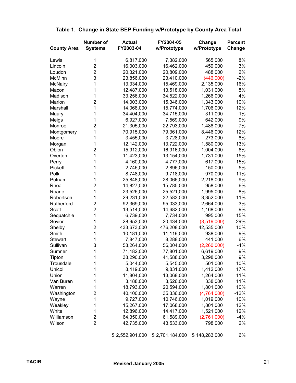| <b>County Area</b> | Number of<br><b>Systems</b> | <b>Actual</b><br>FY2003-04 | FY2004-05<br>w/Prototype | Change<br>w/Prototype | <b>Percent</b><br>Change |
|--------------------|-----------------------------|----------------------------|--------------------------|-----------------------|--------------------------|
| Lewis              | 1                           | 6,817,000                  | 7,382,000                | 565,000               | 8%                       |
| Lincoln            | $\overline{2}$              | 16,003,000                 | 16,462,000               | 459,000               | 3%                       |
| Loudon             | $\overline{2}$              | 20,321,000                 | 20,809,000               | 488,000               | 2%                       |
| McMinn             | 3                           | 23,856,000                 | 23,410,000               | (446,000)             | $-2%$                    |
| <b>McNairy</b>     | 1                           | 13,334,000                 | 15,469,000               | 2,135,000             | 16%                      |
| Macon              | 1                           | 12,487,000                 | 13,518,000               | 1,031,000             | 8%                       |
| Madison            | 1                           | 33,256,000                 | 34,522,000               | 1,266,000             | 4%                       |
| Marion             | 2                           | 14,003,000                 | 15,346,000               | 1,343,000             | 10%                      |
| Marshall           | 1                           | 14,068,000                 | 15,774,000               | 1,706,000             | 12%                      |
| Maury              | 1                           | 34,404,000                 | 34,715,000               | 311,000               | $1\%$                    |
| Meigs              | 1                           | 6,927,000                  | 7,569,000                | 642,000               | 9%                       |
| Monroe             | 2                           | 21,305,000                 | 22,793,000               | 1,488,000             | 7%                       |
| Montgomery         | 1                           | 70,915,000                 | 79,361,000               | 8,446,000             | 12%                      |
| Moore              | 1                           | 3,455,000                  | 3,728,000                | 273,000               | 8%                       |
| Morgan             | 1                           | 12,142,000                 | 13,722,000               | 1,580,000             | 13%                      |
| Obion              | 2                           | 15,912,000                 | 16,916,000               | 1,004,000             | 6%                       |
| Overton            | 1                           | 11,423,000                 | 13,154,000               | 1,731,000             | 15%                      |
| Perry              | 1                           | 4,160,000                  | 4,777,000                | 617,000               | 15%                      |
| Pickett            | 1                           | 2,746,000                  | 2,896,000                | 150,000               | 5%                       |
| Polk               | 1                           | 8,748,000                  | 9,718,000                | 970,000               | 11%                      |
| Putnam             | 1                           | 25,848,000                 | 28,066,000               | 2,218,000             | 9%                       |
| Rhea               | $\overline{2}$              | 14,827,000                 | 15,785,000               | 958,000               | 6%                       |
| Roane              | 1                           | 23,526,000                 | 25,521,000               | 1,995,000             | 8%                       |
| Robertson          | 1                           | 29,231,000                 | 32,583,000               | 3,352,000             | 11%                      |
| Rutherford         | 2                           | 92,369,000                 | 95,033,000               | 2,664,000             | 3%                       |
| Scott              | 2                           | 13,514,000                 | 14,682,000               | 1,168,000             | 9%                       |
| Sequatchie         | 1                           | 6,739,000                  | 7,734,000                | 995,000               | 15%                      |
| Sevier             | 1                           | 28,953,000                 | 20,434,000               | (8,519,000)           | $-29%$                   |
| Shelby             | $\overline{2}$              | 433,673,000                | 476,208,000              | 42,535,000            | 10%                      |
| Smith              | 1                           | 10,181,000                 | 11,119,000               | 938,000               | 9%                       |
| <b>Stewart</b>     | 1                           | 7,847,000                  | 8,288,000                | 441,000               | 6%                       |
| Sullivan           | 3                           | 58,264,000                 | 56,004,000               | (2,260,000)           | $-4%$                    |
| Sumner             | 1                           | 71,182,000                 | 77,801,000               | 6,619,000             | 9%                       |
| Tipton             | 1                           | 38,290,000                 | 41,588,000               | 3,298,000             | 9%                       |
| Trousdale          | 1                           | 5,044,000                  | 5,545,000                | 501,000               | 10%                      |
| Unicoi             | 1                           | 8,419,000                  | 9,831,000                | 1,412,000             | 17%                      |
| Union              | 1                           | 11,804,000                 | 13,068,000               | 1,264,000             | 11%                      |
| Van Buren          | 1                           | 3,188,000                  | 3,526,000                | 338,000               | 11%                      |
| Warren             | 1                           | 18,793,000                 | 20,594,000               | 1,801,000             | 10%                      |
| Washington         | 2                           | 40,100,000                 | 35,336,000               | (4,764,000)           | $-12%$                   |
| Wayne              | 1                           | 9,727,000                  | 10,746,000               | 1,019,000             | 10%                      |
| Weakley            | 1                           | 15,267,000                 | 17,068,000               | 1,801,000             | 12%                      |
| White              | 1                           | 12,896,000                 | 14,417,000               | 1,521,000             | 12%                      |
| Williamson         | 2                           | 64,350,000                 | 61,589,000               | (2,761,000)           | $-4%$                    |
| Wilson             | 2                           | 42,735,000                 | 43,533,000               | 798,000               | 2%                       |

#### **Table 1. Change in State BEP Funding w/Prototype by County Area Total**

 $$2,552,901,000 \ $2,701,184,000 \ $148,283,000 \ $6\%$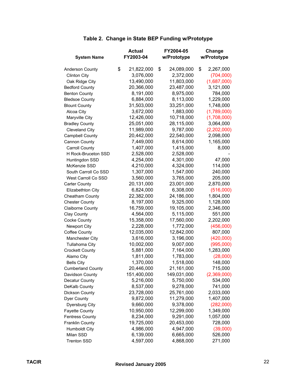| <b>System Name</b>       | <b>Actual</b><br>FY2003-04 | FY2004-05<br>w/Prototype | Change<br>w/Prototype |
|--------------------------|----------------------------|--------------------------|-----------------------|
|                          |                            |                          |                       |
| Anderson County          | \$<br>21,822,000           | \$<br>24,089,000         | \$<br>2,267,000       |
| <b>Clinton City</b>      | 3,076,000                  | 2,372,000                | (704,000)             |
| Oak Ridge City           | 13,490,000                 | 11,803,000               | (1,687,000)           |
| <b>Bedford County</b>    | 20,366,000                 | 23,487,000               | 3,121,000             |
| <b>Benton County</b>     | 8,191,000                  | 8,975,000                | 784,000               |
| <b>Bledsoe County</b>    | 6,884,000                  | 8,113,000                | 1,229,000             |
| <b>Blount County</b>     | 31,503,000                 | 33,251,000               | 1,748,000             |
| Alcoa City               | 3,672,000                  | 1,883,000                | (1,789,000)           |
| Maryville City           | 12,426,000                 | 10,718,000               | (1,708,000)           |
| <b>Bradley County</b>    | 25,051,000                 | 28,115,000               | 3,064,000             |
| <b>Cleveland City</b>    | 11,989,000                 | 9,787,000                | (2,202,000)           |
| Campbell County          | 20,442,000                 | 22,540,000               | 2,098,000             |
| Cannon County            | 7,449,000                  | 8,614,000                | 1,165,000             |
| <b>Carroll County</b>    | 1,407,000                  | 1,415,000                | 8,000                 |
| H Rock-Bruceton SSD      | 2,528,000                  | 2,528,000                |                       |
| Huntingdon SSD           | 4,254,000                  | 4,301,000                | 47,000                |
| McKenzie SSD             | 4,210,000                  | 4,324,000                | 114,000               |
| South Carroll Co SSD     | 1,307,000                  | 1,547,000                | 240,000               |
| West Carroll Co SSD      | 3,560,000                  | 3,765,000                | 205,000               |
| <b>Carter County</b>     | 20,131,000                 | 23,001,000               | 2,870,000             |
| Elizabethton City        | 6,824,000                  | 6,308,000                | (516,000)             |
| Cheatham County          | 22,382,000                 | 24,186,000               | 1,804,000             |
| <b>Chester County</b>    | 8,197,000                  | 9,325,000                | 1,128,000             |
| <b>Claiborne County</b>  | 16,759,000                 | 19,105,000               | 2,346,000             |
| Clay County              | 4,564,000                  | 5,115,000                | 551,000               |
| Cocke County             | 15,358,000                 | 17,560,000               | 2,202,000             |
| Newport City             | 2,228,000                  | 1,772,000                | (456,000)             |
| <b>Coffee County</b>     | 12,035,000                 | 12,842,000               | 807,000               |
| Manchester City          | 3,616,000                  | 3,196,000                | (420,000)             |
| Tullahoma City           | 10,002,000                 | 9,007,000                | (995,000)             |
| <b>Crockett County</b>   | 5,881,000                  | 7,164,000                | 1,283,000             |
| Alamo City               | 1,811,000                  | 1,783,000                | (28,000)              |
| <b>Bells City</b>        | 1,370,000                  | 1,518,000                | 148,000               |
| <b>Cumberland County</b> | 20,446,000                 | 21,161,000               | 715,000               |
| Davidson County          | 151,400,000                | 149,031,000              | (2,369,000)           |
| <b>Decatur County</b>    | 5,216,000                  | 5,750,000                | 534,000               |
| DeKalb County            | 8,537,000                  | 9,278,000                | 741,000               |
| Dickson County           | 23,728,000                 | 25,761,000               | 2,033,000             |
| Dyer County              | 9,872,000                  | 11,279,000               | 1,407,000             |
| Dyersburg City           | 9,660,000                  | 9,378,000                | (282,000)             |
| <b>Fayette County</b>    | 10,950,000                 | 12,299,000               | 1,349,000             |
| <b>Fentress County</b>   | 8,234,000                  | 9,291,000                | 1,057,000             |
| Franklin County          | 19,725,000                 | 20,453,000               | 728,000               |
| <b>Humboldt City</b>     | 4,986,000                  | 4,947,000                | (39,000)              |
| Milan SSD                | 6,139,000                  | 6,665,000                | 526,000               |
| <b>Trenton SSD</b>       | 4,597,000                  | 4,868,000                | 271,000               |

#### **Table 2. Change in State BEP Funding w/Prototype**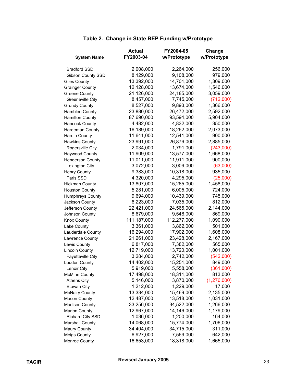|                          | <b>Actual</b> | FY2004-05   | Change        |
|--------------------------|---------------|-------------|---------------|
| <b>System Name</b>       | FY2003-04     | w/Prototype | w/Prototype   |
| <b>Bradford SSD</b>      | 2,008,000     | 2,264,000   | 256,000       |
| Gibson County SSD        | 8,129,000     | 9,108,000   | 979,000       |
| <b>Giles County</b>      | 13,392,000    | 14,701,000  | 1,309,000     |
| <b>Grainger County</b>   | 12,128,000    | 13,674,000  | 1,546,000     |
| <b>Greene County</b>     | 21,126,000    | 24,185,000  | 3,059,000     |
| Greeneville City         | 8,457,000     | 7,745,000   | (712,000)     |
| <b>Grundy County</b>     | 8,527,000     | 9,893,000   | 1,366,000     |
| Hamblen County           | 23,880,000    | 26,472,000  | 2,592,000     |
| <b>Hamilton County</b>   | 87,690,000    | 93,594,000  | 5,904,000     |
| <b>Hancock County</b>    | 4,482,000     | 4,832,000   | 350,000       |
| Hardeman County          | 16,189,000    | 18,262,000  | 2,073,000     |
| <b>Hardin County</b>     | 11,641,000    | 12,541,000  | 900,000       |
| <b>Hawkins County</b>    | 23,991,000    | 26,876,000  | 2,885,000     |
| Rogersville City         | 2,034,000     | 1,791,000   | (243,000)     |
| Haywood County           | 11,909,000    | 13,577,000  | 1,668,000     |
| <b>Henderson County</b>  | 11,011,000    | 11,911,000  | 900,000       |
| Lexington City           | 3,072,000     | 3,009,000   | (63,000)      |
| <b>Henry County</b>      | 9,383,000     | 10,318,000  | 935,000       |
| Paris SSD                | 4,320,000     | 4,295,000   | (25,000)      |
| <b>Hickman County</b>    | 13,807,000    | 15,265,000  | 1,458,000     |
| <b>Houston County</b>    | 5,281,000     | 6,005,000   | 724,000       |
| Humphreys County         | 9,694,000     | 10,439,000  | 745,000       |
| Jackson County           | 6,223,000     | 7,035,000   | 812,000       |
| Jefferson County         | 22,421,000    | 24,565,000  | 2,144,000     |
| Johnson County           | 8,679,000     | 9,548,000   | 869,000       |
| <b>Knox County</b>       | 111,187,000   | 112,277,000 | 1,090,000     |
| Lake County              | 3,361,000     | 3,862,000   | 501,000       |
| Lauderdale County        | 16,294,000    | 17,902,000  | 1,608,000     |
| Lawrence County          | 21,261,000    | 23,428,000  | 2,167,000     |
| Lewis County             | 6,817,000     | 7,382,000   | 565,000       |
| <b>Lincoln County</b>    | 12,719,000    | 13,720,000  | 1,001,000     |
| <b>Fayetteville City</b> | 3,284,000     | 2,742,000   | (542,000)     |
| Loudon County            | 14,402,000    | 15,251,000  | 849,000       |
| Lenoir City              | 5,919,000     | 5,558,000   | (361,000)     |
| <b>McMinn County</b>     | 17,498,000    | 18,311,000  | 813,000       |
| <b>Athens City</b>       | 5,146,000     | 3,870,000   | (1, 276, 000) |
| Etowah City              | 1,212,000     | 1,229,000   | 17,000        |
| <b>McNairy County</b>    | 13,334,000    | 15,469,000  | 2,135,000     |
| Macon County             | 12,487,000    | 13,518,000  | 1,031,000     |
| <b>Madison County</b>    | 33,256,000    | 34,522,000  | 1,266,000     |
| <b>Marion County</b>     | 12,967,000    | 14,146,000  | 1,179,000     |
| Richard City SSD         | 1,036,000     | 1,200,000   | 164,000       |
| <b>Marshall County</b>   | 14,068,000    | 15,774,000  | 1,706,000     |
| <b>Maury County</b>      | 34,404,000    | 34,715,000  | 311,000       |
| <b>Meigs County</b>      | 6,927,000     | 7,569,000   | 642,000       |
| Monroe County            | 16,653,000    | 18,318,000  | 1,665,000     |

#### **Table 2. Change in State BEP Funding w/Prototype**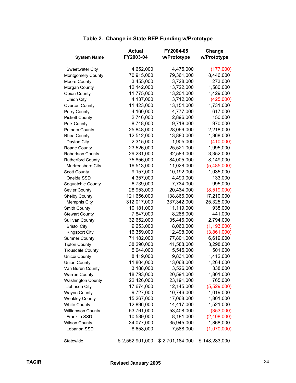|                          | <b>Actual</b>   | FY2004-05       | Change        |
|--------------------------|-----------------|-----------------|---------------|
| <b>System Name</b>       | FY2003-04       | w/Prototype     | w/Prototype   |
| Sweetwater City          | 4,652,000       | 4,475,000       | (177,000)     |
| Montgomery County        | 70,915,000      | 79,361,000      | 8,446,000     |
| Moore County             | 3,455,000       | 3,728,000       | 273,000       |
| Morgan County            | 12,142,000      | 13,722,000      | 1,580,000     |
| <b>Obion County</b>      | 11,775,000      | 13,204,000      | 1,429,000     |
| <b>Union City</b>        | 4,137,000       | 3,712,000       | (425,000)     |
| Overton County           | 11,423,000      | 13,154,000      | 1,731,000     |
| Perry County             | 4,160,000       | 4,777,000       | 617,000       |
| <b>Pickett County</b>    | 2,746,000       | 2,896,000       | 150,000       |
| Polk County              | 8,748,000       | 9,718,000       | 970,000       |
| <b>Putnam County</b>     | 25,848,000      | 28,066,000      | 2,218,000     |
| Rhea County              | 12,512,000      | 13,880,000      | 1,368,000     |
| Dayton City              | 2,315,000       | 1,905,000       | (410,000)     |
| Roane County             | 23,526,000      | 25,521,000      | 1,995,000     |
| Robertson County         | 29,231,000      | 32,583,000      | 3,352,000     |
| <b>Rutherford County</b> | 75,856,000      | 84,005,000      | 8,149,000     |
| Murfreesboro City        | 16,513,000      | 11,028,000      | (5,485,000)   |
| <b>Scott County</b>      | 9,157,000       | 10,192,000      | 1,035,000     |
| Oneida SSD               | 4,357,000       | 4,490,000       | 133,000       |
| Sequatchie County        | 6,739,000       | 7,734,000       | 995,000       |
| Sevier County            | 28,953,000      | 20,434,000      | (8,519,000)   |
| <b>Shelby County</b>     | 121,656,000     | 138,866,000     | 17,210,000    |
| Memphis City             | 312,017,000     | 337,342,000     | 25,325,000    |
| Smith County             | 10,181,000      | 11,119,000      | 938,000       |
| <b>Stewart County</b>    | 7,847,000       | 8,288,000       | 441,000       |
| <b>Sullivan County</b>   | 32,652,000      | 35,446,000      | 2,794,000     |
| <b>Bristol City</b>      | 9,253,000       | 8,060,000       | (1, 193, 000) |
| <b>Kingsport City</b>    | 16,359,000      | 12,498,000      | (3,861,000)   |
| <b>Sumner County</b>     | 71,182,000      | 77,801,000      | 6,619,000     |
| <b>Tipton County</b>     | 38,290,000      | 41,588,000      | 3,298,000     |
| <b>Trousdale County</b>  | 5,044,000       | 5,545,000       | 501,000       |
| Unicoi County            | 8,419,000       | 9,831,000       | 1,412,000     |
| <b>Union County</b>      | 11,804,000      | 13,068,000      | 1,264,000     |
| Van Buren County         | 3,188,000       | 3,526,000       | 338,000       |
| <b>Warren County</b>     | 18,793,000      | 20,594,000      | 1,801,000     |
| <b>Washington County</b> | 22,426,000      | 23,191,000      | 765,000       |
| Johnson City             | 17,674,000      | 12,145,000      | (5,529,000)   |
| <b>Wayne County</b>      | 9,727,000       | 10,746,000      | 1,019,000     |
| <b>Weakley County</b>    | 15,267,000      | 17,068,000      | 1,801,000     |
| <b>White County</b>      | 12,896,000      | 14,417,000      | 1,521,000     |
| Williamson County        | 53,761,000      | 53,408,000      | (353,000)     |
| Franklin SSD             | 10,589,000      | 8,181,000       | (2,408,000)   |
| <b>Wilson County</b>     | 34,077,000      | 35,945,000      | 1,868,000     |
| Lebanon SSD              | 8,658,000       | 7,588,000       | (1,070,000)   |
| Statewide                | \$2,552,901,000 | \$2,701,184,000 | \$148,283,000 |

#### **Table 2. Change in State BEP Funding w/Prototype**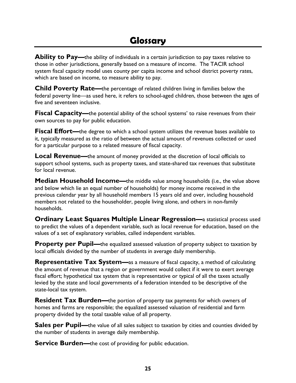**Ability to Pay—**the ability of individuals in a certain jurisdiction to pay taxes relative to those in other jurisdictions, generally based on a measure of income. The TACIR school system fiscal capacity model uses county per capita income and school district poverty rates, which are based on income, to measure ability to pay.

**Child Poverty Rate—**the percentage of related children living in families below the federal poverty line—as used here, it refers to school-aged children, those between the ages of five and seventeen inclusive.

**Fiscal Capacity—**the potential ability of the school systems' to raise revenues from their own sources to pay for public education.

**Fiscal Effort—**the degree to which a school system utilizes the revenue bases available to it, typically measured as the ratio of between the actual amount of revenues collected or used for a particular purpose to a related measure of fiscal capacity.

**Local Revenue—**the amount of money provided at the discretion of local officials to support school systems, such as property taxes, and state-shared tax revenues that substitute for local revenue.

**Median Household Income—**the middle value among households (i.e., the value above and below which lie an equal number of households) for money income received in the previous calendar year by all household members 15 years old and over, including household members not related to the householder, people living alone, and others in non-family households.

**Ordinary Least Squares Multiple Linear Regression—**a statistical process used to predict the values of a dependent variable, such as local revenue for education, based on the values of a set of explanatory variables, called independent variables.

**Property per Pupil—**the equalized assessed valuation of property subject to taxation by local officials divided by the number of students in average daily membership.

**Representative Tax System—**as a measure of fiscal capacity, a method of calculating the amount of revenue that a region or government would collect if it were to exert average fiscal effort; hypothetical tax system that is representative or typical of all the taxes actually levied by the state and local governments of a federation intended to be descriptive of the state-local tax system.

**Resident Tax Burden—**the portion of property tax payments for which owners of homes and farms are responsible; the equalized assessed valuation of residential and farm property divided by the total taxable value of all property.

**Sales per Pupil—**the value of all sales subject to taxation by cities and counties divided by the number of students in average daily membership.

**Service Burden—**the cost of providing for public education.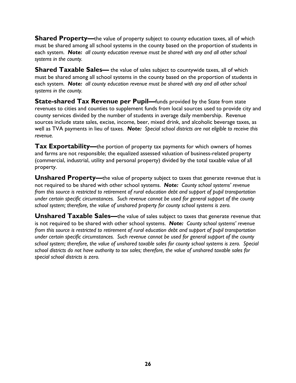**Shared Property—**the value of property subject to county education taxes, all of which must be shared among all school systems in the county based on the proportion of students in each system. *Note: all county education revenue must be shared with any and all other school systems in the county.*

**Shared Taxable Sales—** the value of sales subject to countywide taxes, all of which must be shared among all school systems in the county based on the proportion of students in each system. *Note: all county education revenue must be shared with any and all other school systems in the county.*

**State-shared Tax Revenue per Pupil—**funds provided by the State from state revenues to cities and counties to supplement funds from local sources used to provide city and county services divided by the number of students in average daily membership. Revenue sources include state sales, excise, income, beer, mixed drink, and alcoholic beverage taxes, as well as TVA payments in lieu of taxes. *Note: Special school districts are not eligible to receive this revenue.*

**Tax Exportability—**the portion of property tax payments for which owners of homes and farms are not responsible; the equalized assessed valuation of business-related property (commercial, industrial, utility and personal property) divided by the total taxable value of all property.

**Unshared Property—**the value of property subject to taxes that generate revenue that is not required to be shared with other school systems. *Note: County school systems' revenue from this source is restricted to retirement of rural education debt and support of pupil transportation under certain specific circumstances. Such revenue cannot be used for general support of the county school system; therefore, the value of unshared property for county school systems is zero.*

**Unshared Taxable Sales—the value of sales subject to taxes that generate revenue that** is not required to be shared with other school systems. *Note: County school systems' revenue from this source is restricted to retirement of rural education debt and support of pupil transportation under certain specific circumstances. Such revenue cannot be used for general support of the county school system; therefore, the value of unshared taxable sales for county school systems is zero. Special school districts do not have authority to tax sales; therefore, the value of unshared taxable sales for special school districts is zero.*